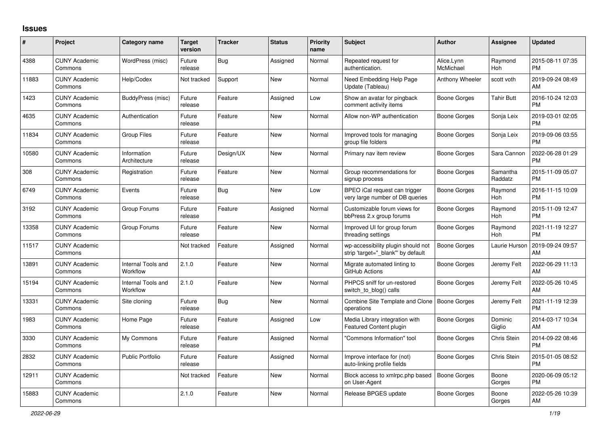## **Issues**

| #     | Project                         | <b>Category name</b>           | Target<br>version | <b>Tracker</b> | <b>Status</b> | <b>Priority</b><br>name | <b>Subject</b>                                                           | <b>Author</b>           | <b>Assignee</b>     | <b>Updated</b>                |
|-------|---------------------------------|--------------------------------|-------------------|----------------|---------------|-------------------------|--------------------------------------------------------------------------|-------------------------|---------------------|-------------------------------|
| 4388  | <b>CUNY Academic</b><br>Commons | WordPress (misc)               | Future<br>release | Bug            | Assigned      | Normal                  | Repeated request for<br>authentication.                                  | Alice.Lynn<br>McMichael | Raymond<br>Hoh      | 2015-08-11 07:35<br><b>PM</b> |
| 11883 | <b>CUNY Academic</b><br>Commons | Help/Codex                     | Not tracked       | Support        | New           | Normal                  | Need Embedding Help Page<br>Update (Tableau)                             | Anthony Wheeler         | scott voth          | 2019-09-24 08:49<br>AM        |
| 1423  | <b>CUNY Academic</b><br>Commons | BuddyPress (misc)              | Future<br>release | Feature        | Assigned      | Low                     | Show an avatar for pingback<br>comment activity items                    | Boone Gorges            | Tahir Butt          | 2016-10-24 12:03<br><b>PM</b> |
| 4635  | <b>CUNY Academic</b><br>Commons | Authentication                 | Future<br>release | Feature        | <b>New</b>    | Normal                  | Allow non-WP authentication                                              | Boone Gorges            | Sonja Leix          | 2019-03-01 02:05<br><b>PM</b> |
| 11834 | <b>CUNY Academic</b><br>Commons | Group Files                    | Future<br>release | Feature        | New           | Normal                  | Improved tools for managing<br>group file folders                        | Boone Gorges            | Sonja Leix          | 2019-09-06 03:55<br><b>PM</b> |
| 10580 | <b>CUNY Academic</b><br>Commons | Information<br>Architecture    | Future<br>release | Design/UX      | <b>New</b>    | Normal                  | Primary nav item review                                                  | Boone Gorges            | Sara Cannon         | 2022-06-28 01:29<br><b>PM</b> |
| 308   | <b>CUNY Academic</b><br>Commons | Registration                   | Future<br>release | Feature        | <b>New</b>    | Normal                  | Group recommendations for<br>signup process                              | Boone Gorges            | Samantha<br>Raddatz | 2015-11-09 05:07<br><b>PM</b> |
| 6749  | <b>CUNY Academic</b><br>Commons | Events                         | Future<br>release | Bug            | <b>New</b>    | Low                     | BPEO iCal request can trigger<br>very large number of DB queries         | <b>Boone Gorges</b>     | Raymond<br>Hoh      | 2016-11-15 10:09<br><b>PM</b> |
| 3192  | <b>CUNY Academic</b><br>Commons | Group Forums                   | Future<br>release | Feature        | Assigned      | Normal                  | Customizable forum views for<br>bbPress 2.x group forums                 | Boone Gorges            | Raymond<br>Hoh      | 2015-11-09 12:47<br><b>PM</b> |
| 13358 | <b>CUNY Academic</b><br>Commons | Group Forums                   | Future<br>release | Feature        | <b>New</b>    | Normal                  | Improved UI for group forum<br>threading settings                        | Boone Gorges            | Raymond<br>Hoh      | 2021-11-19 12:27<br><b>PM</b> |
| 11517 | <b>CUNY Academic</b><br>Commons |                                | Not tracked       | Feature        | Assigned      | Normal                  | wp-accessibility plugin should not<br>strip 'target="_blank"' by default | Boone Gorges            | Laurie Hurson       | 2019-09-24 09:57<br>AM        |
| 13891 | <b>CUNY Academic</b><br>Commons | Internal Tools and<br>Workflow | 2.1.0             | Feature        | <b>New</b>    | Normal                  | Migrate automated linting to<br>GitHub Actions                           | Boone Gorges            | Jeremy Felt         | 2022-06-29 11:13<br>AM        |
| 15194 | <b>CUNY Academic</b><br>Commons | Internal Tools and<br>Workflow | 2.1.0             | Feature        | <b>New</b>    | Normal                  | PHPCS sniff for un-restored<br>switch_to_blog() calls                    | Boone Gorges            | Jeremy Felt         | 2022-05-26 10:45<br>AM        |
| 13331 | <b>CUNY Academic</b><br>Commons | Site cloning                   | Future<br>release | Bug            | <b>New</b>    | Normal                  | Combine Site Template and Clone<br>operations                            | <b>Boone Gorges</b>     | Jeremy Felt         | 2021-11-19 12:39<br><b>PM</b> |
| 1983  | <b>CUNY Academic</b><br>Commons | Home Page                      | Future<br>release | Feature        | Assigned      | Low                     | Media Library integration with<br><b>Featured Content plugin</b>         | Boone Gorges            | Dominic<br>Giglio   | 2014-03-17 10:34<br>AM        |
| 3330  | <b>CUNY Academic</b><br>Commons | My Commons                     | Future<br>release | Feature        | Assigned      | Normal                  | "Commons Information" tool                                               | Boone Gorges            | Chris Stein         | 2014-09-22 08:46<br><b>PM</b> |
| 2832  | <b>CUNY Academic</b><br>Commons | <b>Public Portfolio</b>        | Future<br>release | Feature        | Assigned      | Normal                  | Improve interface for (not)<br>auto-linking profile fields               | Boone Gorges            | Chris Stein         | 2015-01-05 08:52<br><b>PM</b> |
| 12911 | <b>CUNY Academic</b><br>Commons |                                | Not tracked       | Feature        | New           | Normal                  | Block access to xmlrpc.php based<br>on User-Agent                        | <b>Boone Gorges</b>     | Boone<br>Gorges     | 2020-06-09 05:12<br><b>PM</b> |
| 15883 | <b>CUNY Academic</b><br>Commons |                                | 2.1.0             | Feature        | <b>New</b>    | Normal                  | Release BPGES update                                                     | Boone Gorges            | Boone<br>Gorges     | 2022-05-26 10:39<br>AM        |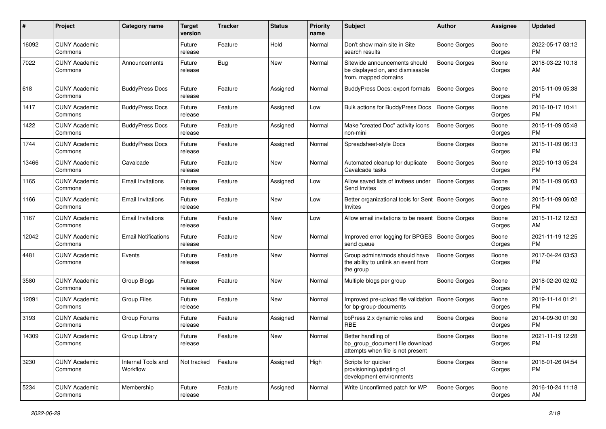| #     | Project                         | <b>Category name</b>           | <b>Target</b><br>version | <b>Tracker</b> | <b>Status</b> | Priority<br>name | <b>Subject</b>                                                                             | <b>Author</b>       | <b>Assignee</b> | <b>Updated</b>                |
|-------|---------------------------------|--------------------------------|--------------------------|----------------|---------------|------------------|--------------------------------------------------------------------------------------------|---------------------|-----------------|-------------------------------|
| 16092 | <b>CUNY Academic</b><br>Commons |                                | Future<br>release        | Feature        | Hold          | Normal           | Don't show main site in Site<br>search results                                             | Boone Gorges        | Boone<br>Gorges | 2022-05-17 03:12<br>PM.       |
| 7022  | <b>CUNY Academic</b><br>Commons | Announcements                  | Future<br>release        | <b>Bug</b>     | New           | Normal           | Sitewide announcements should<br>be displayed on, and dismissable<br>from, mapped domains  | <b>Boone Gorges</b> | Boone<br>Gorges | 2018-03-22 10:18<br>AM        |
| 618   | <b>CUNY Academic</b><br>Commons | <b>BuddyPress Docs</b>         | Future<br>release        | Feature        | Assigned      | Normal           | <b>BuddyPress Docs: export formats</b>                                                     | <b>Boone Gorges</b> | Boone<br>Gorges | 2015-11-09 05:38<br>PM.       |
| 1417  | <b>CUNY Academic</b><br>Commons | <b>BuddyPress Docs</b>         | Future<br>release        | Feature        | Assigned      | Low              | Bulk actions for BuddyPress Docs                                                           | Boone Gorges        | Boone<br>Gorges | 2016-10-17 10:41<br>PM.       |
| 1422  | <b>CUNY Academic</b><br>Commons | <b>BuddyPress Docs</b>         | Future<br>release        | Feature        | Assigned      | Normal           | Make "created Doc" activity icons<br>non-mini                                              | <b>Boone Gorges</b> | Boone<br>Gorges | 2015-11-09 05:48<br>PM.       |
| 1744  | <b>CUNY Academic</b><br>Commons | <b>BuddyPress Docs</b>         | Future<br>release        | Feature        | Assigned      | Normal           | Spreadsheet-style Docs                                                                     | Boone Gorges        | Boone<br>Gorges | 2015-11-09 06:13<br><b>PM</b> |
| 13466 | <b>CUNY Academic</b><br>Commons | Cavalcade                      | Future<br>release        | Feature        | New           | Normal           | Automated cleanup for duplicate<br>Cavalcade tasks                                         | Boone Gorges        | Boone<br>Gorges | 2020-10-13 05:24<br><b>PM</b> |
| 1165  | <b>CUNY Academic</b><br>Commons | Email Invitations              | Future<br>release        | Feature        | Assigned      | Low              | Allow saved lists of invitees under<br>Send Invites                                        | <b>Boone Gorges</b> | Boone<br>Gorges | 2015-11-09 06:03<br><b>PM</b> |
| 1166  | <b>CUNY Academic</b><br>Commons | <b>Email Invitations</b>       | Future<br>release        | Feature        | <b>New</b>    | Low              | Better organizational tools for Sent   Boone Gorges<br>Invites                             |                     | Boone<br>Gorges | 2015-11-09 06:02<br>PM.       |
| 1167  | <b>CUNY Academic</b><br>Commons | <b>Email Invitations</b>       | Future<br>release        | Feature        | <b>New</b>    | Low              | Allow email invitations to be resent   Boone Gorges                                        |                     | Boone<br>Gorges | 2015-11-12 12:53<br>AM        |
| 12042 | <b>CUNY Academic</b><br>Commons | <b>Email Notifications</b>     | Future<br>release        | Feature        | New           | Normal           | Improved error logging for BPGES<br>send queue                                             | <b>Boone Gorges</b> | Boone<br>Gorges | 2021-11-19 12:25<br>PM.       |
| 4481  | <b>CUNY Academic</b><br>Commons | Events                         | Future<br>release        | Feature        | <b>New</b>    | Normal           | Group admins/mods should have<br>the ability to unlink an event from<br>the group          | Boone Gorges        | Boone<br>Gorges | 2017-04-24 03:53<br>PM.       |
| 3580  | <b>CUNY Academic</b><br>Commons | Group Blogs                    | Future<br>release        | Feature        | <b>New</b>    | Normal           | Multiple blogs per group                                                                   | Boone Gorges        | Boone<br>Gorges | 2018-02-20 02:02<br>PM        |
| 12091 | <b>CUNY Academic</b><br>Commons | <b>Group Files</b>             | Future<br>release        | Feature        | New           | Normal           | Improved pre-upload file validation<br>for bp-group-documents                              | Boone Gorges        | Boone<br>Gorges | 2019-11-14 01:21<br>PM.       |
| 3193  | <b>CUNY Academic</b><br>Commons | Group Forums                   | Future<br>release        | Feature        | Assigned      | Normal           | bbPress 2.x dynamic roles and<br>RBE                                                       | Boone Gorges        | Boone<br>Gorges | 2014-09-30 01:30<br>PM.       |
| 14309 | <b>CUNY Academic</b><br>Commons | Group Library                  | Future<br>release        | Feature        | New           | Normal           | Better handling of<br>bp_group_document file download<br>attempts when file is not present | <b>Boone Gorges</b> | Boone<br>Gorges | 2021-11-19 12:28<br><b>PM</b> |
| 3230  | <b>CUNY Academic</b><br>Commons | Internal Tools and<br>Workflow | Not tracked              | Feature        | Assigned      | High             | Scripts for quicker<br>provisioning/updating of<br>development environments                | Boone Gorges        | Boone<br>Gorges | 2016-01-26 04:54<br>PM.       |
| 5234  | <b>CUNY Academic</b><br>Commons | Membership                     | Future<br>release        | Feature        | Assigned      | Normal           | Write Unconfirmed patch for WP                                                             | Boone Gorges        | Boone<br>Gorges | 2016-10-24 11:18<br>AM        |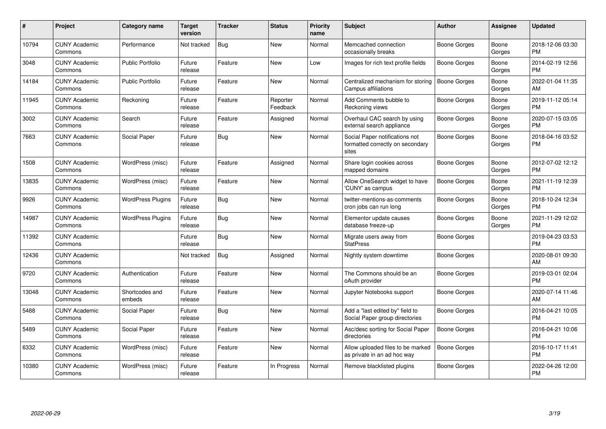| #     | Project                         | Category name            | <b>Target</b><br>version | <b>Tracker</b> | <b>Status</b>        | <b>Priority</b><br>name | Subject                                                                     | <b>Author</b>       | <b>Assignee</b> | <b>Updated</b>                |
|-------|---------------------------------|--------------------------|--------------------------|----------------|----------------------|-------------------------|-----------------------------------------------------------------------------|---------------------|-----------------|-------------------------------|
| 10794 | <b>CUNY Academic</b><br>Commons | Performance              | Not tracked              | Bug            | <b>New</b>           | Normal                  | Memcached connection<br>occasionally breaks                                 | Boone Gorges        | Boone<br>Gorges | 2018-12-06 03:30<br><b>PM</b> |
| 3048  | <b>CUNY Academic</b><br>Commons | Public Portfolio         | Future<br>release        | Feature        | New                  | Low                     | Images for rich text profile fields                                         | Boone Gorges        | Boone<br>Gorges | 2014-02-19 12:56<br><b>PM</b> |
| 14184 | <b>CUNY Academic</b><br>Commons | <b>Public Portfolio</b>  | Future<br>release        | Feature        | <b>New</b>           | Normal                  | Centralized mechanism for storing<br>Campus affiliations                    | Boone Gorges        | Boone<br>Gorges | 2022-01-04 11:35<br>AM        |
| 11945 | <b>CUNY Academic</b><br>Commons | Reckoning                | Future<br>release        | Feature        | Reporter<br>Feedback | Normal                  | Add Comments bubble to<br>Reckoning views                                   | Boone Gorges        | Boone<br>Gorges | 2019-11-12 05:14<br><b>PM</b> |
| 3002  | <b>CUNY Academic</b><br>Commons | Search                   | Future<br>release        | Feature        | Assigned             | Normal                  | Overhaul CAC search by using<br>external search appliance                   | Boone Gorges        | Boone<br>Gorges | 2020-07-15 03:05<br><b>PM</b> |
| 7663  | <b>CUNY Academic</b><br>Commons | Social Paper             | Future<br>release        | Bug            | <b>New</b>           | Normal                  | Social Paper notifications not<br>formatted correctly on secondary<br>sites | Boone Gorges        | Boone<br>Gorges | 2018-04-16 03:52<br><b>PM</b> |
| 1508  | <b>CUNY Academic</b><br>Commons | WordPress (misc)         | Future<br>release        | Feature        | Assigned             | Normal                  | Share login cookies across<br>mapped domains                                | Boone Gorges        | Boone<br>Gorges | 2012-07-02 12:12<br><b>PM</b> |
| 13835 | <b>CUNY Academic</b><br>Commons | WordPress (misc)         | Future<br>release        | Feature        | <b>New</b>           | Normal                  | Allow OneSearch widget to have<br>'CUNY' as campus                          | <b>Boone Gorges</b> | Boone<br>Gorges | 2021-11-19 12:39<br><b>PM</b> |
| 9926  | <b>CUNY Academic</b><br>Commons | <b>WordPress Plugins</b> | Future<br>release        | <b>Bug</b>     | New                  | Normal                  | twitter-mentions-as-comments<br>cron jobs can run long                      | <b>Boone Gorges</b> | Boone<br>Gorges | 2018-10-24 12:34<br><b>PM</b> |
| 14987 | <b>CUNY Academic</b><br>Commons | <b>WordPress Plugins</b> | Future<br>release        | <b>Bug</b>     | <b>New</b>           | Normal                  | Elementor update causes<br>database freeze-up                               | Boone Gorges        | Boone<br>Gorges | 2021-11-29 12:02<br><b>PM</b> |
| 11392 | <b>CUNY Academic</b><br>Commons |                          | Future<br>release        | <b>Bug</b>     | New                  | Normal                  | Migrate users away from<br><b>StatPress</b>                                 | Boone Gorges        |                 | 2019-04-23 03:53<br><b>PM</b> |
| 12436 | <b>CUNY Academic</b><br>Commons |                          | Not tracked              | <b>Bug</b>     | Assigned             | Normal                  | Nightly system downtime                                                     | <b>Boone Gorges</b> |                 | 2020-08-01 09:30<br>AM        |
| 9720  | <b>CUNY Academic</b><br>Commons | Authentication           | Future<br>release        | Feature        | New                  | Normal                  | The Commons should be an<br>oAuth provider                                  | Boone Gorges        |                 | 2019-03-01 02:04<br><b>PM</b> |
| 13048 | <b>CUNY Academic</b><br>Commons | Shortcodes and<br>embeds | Future<br>release        | Feature        | New                  | Normal                  | Jupyter Notebooks support                                                   | Boone Gorges        |                 | 2020-07-14 11:46<br>AM        |
| 5488  | <b>CUNY Academic</b><br>Commons | Social Paper             | Future<br>release        | <b>Bug</b>     | <b>New</b>           | Normal                  | Add a "last edited by" field to<br>Social Paper group directories           | Boone Gorges        |                 | 2016-04-21 10:05<br><b>PM</b> |
| 5489  | <b>CUNY Academic</b><br>Commons | Social Paper             | Future<br>release        | Feature        | New                  | Normal                  | Asc/desc sorting for Social Paper<br>directories                            | <b>Boone Gorges</b> |                 | 2016-04-21 10:06<br><b>PM</b> |
| 6332  | <b>CUNY Academic</b><br>Commons | WordPress (misc)         | Future<br>release        | Feature        | <b>New</b>           | Normal                  | Allow uploaded files to be marked<br>as private in an ad hoc way            | Boone Gorges        |                 | 2016-10-17 11:41<br><b>PM</b> |
| 10380 | CUNY Academic<br>Commons        | WordPress (misc)         | Future<br>release        | Feature        | In Progress          | Normal                  | Remove blacklisted plugins                                                  | Boone Gorges        |                 | 2022-04-26 12:00<br><b>PM</b> |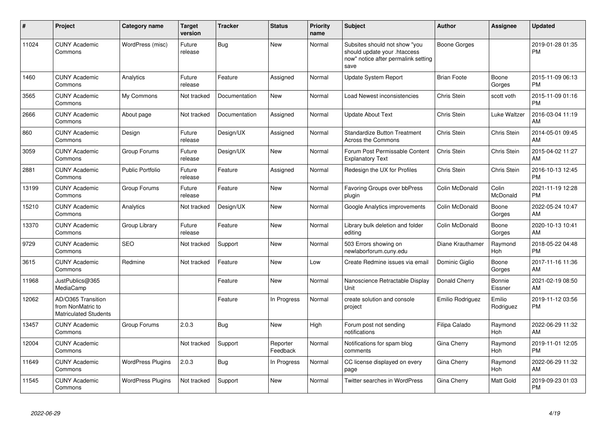| #     | Project                                                                 | <b>Category name</b>     | <b>Target</b><br>version | <b>Tracker</b> | <b>Status</b>        | <b>Priority</b><br>name | <b>Subject</b>                                                                                               | <b>Author</b>      | <b>Assignee</b>     | <b>Updated</b>                |
|-------|-------------------------------------------------------------------------|--------------------------|--------------------------|----------------|----------------------|-------------------------|--------------------------------------------------------------------------------------------------------------|--------------------|---------------------|-------------------------------|
| 11024 | <b>CUNY Academic</b><br>Commons                                         | WordPress (misc)         | Future<br>release        | Bug            | <b>New</b>           | Normal                  | Subsites should not show "you<br>should update your .htaccess<br>now" notice after permalink setting<br>save | Boone Gorges       |                     | 2019-01-28 01:35<br><b>PM</b> |
| 1460  | <b>CUNY Academic</b><br>Commons                                         | Analytics                | Future<br>release        | Feature        | Assigned             | Normal                  | Update System Report                                                                                         | <b>Brian Foote</b> | Boone<br>Gorges     | 2015-11-09 06:13<br><b>PM</b> |
| 3565  | <b>CUNY Academic</b><br>Commons                                         | My Commons               | Not tracked              | Documentation  | New                  | Normal                  | Load Newest inconsistencies                                                                                  | Chris Stein        | scott voth          | 2015-11-09 01:16<br><b>PM</b> |
| 2666  | <b>CUNY Academic</b><br>Commons                                         | About page               | Not tracked              | Documentation  | Assigned             | Normal                  | <b>Update About Text</b>                                                                                     | Chris Stein        | Luke Waltzer        | 2016-03-04 11:19<br>AM        |
| 860   | <b>CUNY Academic</b><br>Commons                                         | Design                   | Future<br>release        | Design/UX      | Assigned             | Normal                  | <b>Standardize Button Treatment</b><br>Across the Commons                                                    | Chris Stein        | Chris Stein         | 2014-05-01 09:45<br>AM        |
| 3059  | <b>CUNY Academic</b><br>Commons                                         | Group Forums             | Future<br>release        | Design/UX      | <b>New</b>           | Normal                  | Forum Post Permissable Content<br><b>Explanatory Text</b>                                                    | Chris Stein        | <b>Chris Stein</b>  | 2015-04-02 11:27<br>AM        |
| 2881  | <b>CUNY Academic</b><br>Commons                                         | <b>Public Portfolio</b>  | Future<br>release        | Feature        | Assigned             | Normal                  | Redesign the UX for Profiles                                                                                 | Chris Stein        | Chris Stein         | 2016-10-13 12:45<br><b>PM</b> |
| 13199 | <b>CUNY Academic</b><br>Commons                                         | Group Forums             | Future<br>release        | Feature        | New                  | Normal                  | Favoring Groups over bbPress<br>plugin                                                                       | Colin McDonald     | Colin<br>McDonald   | 2021-11-19 12:28<br><b>PM</b> |
| 15210 | <b>CUNY Academic</b><br>Commons                                         | Analytics                | Not tracked              | Design/UX      | <b>New</b>           | Normal                  | Google Analytics improvements                                                                                | Colin McDonald     | Boone<br>Gorges     | 2022-05-24 10:47<br>AM        |
| 13370 | <b>CUNY Academic</b><br>Commons                                         | Group Library            | Future<br>release        | Feature        | <b>New</b>           | Normal                  | Library bulk deletion and folder<br>editing                                                                  | Colin McDonald     | Boone<br>Gorges     | 2020-10-13 10:41<br>AM        |
| 9729  | <b>CUNY Academic</b><br>Commons                                         | <b>SEO</b>               | Not tracked              | Support        | <b>New</b>           | Normal                  | 503 Errors showing on<br>newlaborforum.cuny.edu                                                              | Diane Krauthamer   | Raymond<br>Hoh      | 2018-05-22 04:48<br><b>PM</b> |
| 3615  | <b>CUNY Academic</b><br>Commons                                         | Redmine                  | Not tracked              | Feature        | <b>New</b>           | Low                     | Create Redmine issues via email                                                                              | Dominic Giglio     | Boone<br>Gorges     | 2017-11-16 11:36<br>AM        |
| 11968 | JustPublics@365<br>MediaCamp                                            |                          |                          | Feature        | <b>New</b>           | Normal                  | Nanoscience Retractable Display<br>Unit                                                                      | Donald Cherry      | Bonnie<br>Eissner   | 2021-02-19 08:50<br>AM        |
| 12062 | AD/O365 Transition<br>from NonMatric to<br><b>Matriculated Students</b> |                          |                          | Feature        | In Progress          | Normal                  | create solution and console<br>project                                                                       | Emilio Rodriguez   | Emilio<br>Rodriguez | 2019-11-12 03:56<br><b>PM</b> |
| 13457 | <b>CUNY Academic</b><br>Commons                                         | Group Forums             | 2.0.3                    | <b>Bug</b>     | <b>New</b>           | High                    | Forum post not sending<br>notifications                                                                      | Filipa Calado      | Raymond<br>Hoh      | 2022-06-29 11:32<br>AM        |
| 12004 | <b>CUNY Academic</b><br>Commons                                         |                          | Not tracked              | Support        | Reporter<br>Feedback | Normal                  | Notifications for spam blog<br>comments                                                                      | Gina Cherry        | Raymond<br>Hoh      | 2019-11-01 12:05<br><b>PM</b> |
| 11649 | <b>CUNY Academic</b><br>Commons                                         | <b>WordPress Plugins</b> | 2.0.3                    | <b>Bug</b>     | In Progress          | Normal                  | CC license displayed on every<br>page                                                                        | Gina Cherry        | Raymond<br>Hoh      | 2022-06-29 11:32<br>AM        |
| 11545 | <b>CUNY Academic</b><br>Commons                                         | <b>WordPress Plugins</b> | Not tracked              | Support        | <b>New</b>           | Normal                  | <b>Twitter searches in WordPress</b>                                                                         | Gina Cherry        | Matt Gold           | 2019-09-23 01:03<br><b>PM</b> |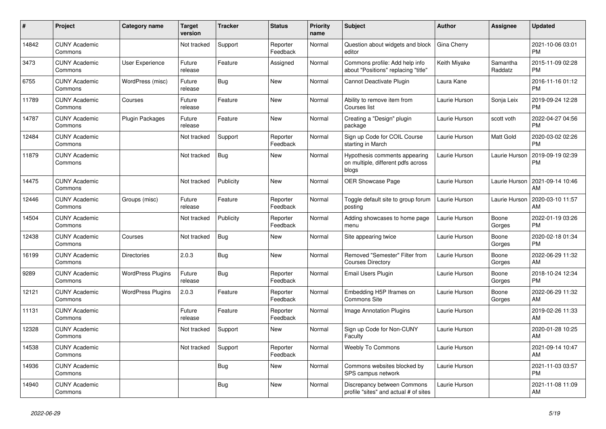| #     | Project                         | <b>Category name</b>     | <b>Target</b><br>version | <b>Tracker</b> | <b>Status</b>        | Priority<br>name | <b>Subject</b>                                                               | <b>Author</b> | Assignee            | <b>Updated</b>                |
|-------|---------------------------------|--------------------------|--------------------------|----------------|----------------------|------------------|------------------------------------------------------------------------------|---------------|---------------------|-------------------------------|
| 14842 | <b>CUNY Academic</b><br>Commons |                          | Not tracked              | Support        | Reporter<br>Feedback | Normal           | Question about widgets and block<br>editor                                   | Gina Cherry   |                     | 2021-10-06 03:01<br><b>PM</b> |
| 3473  | <b>CUNY Academic</b><br>Commons | User Experience          | Future<br>release        | Feature        | Assigned             | Normal           | Commons profile: Add help info<br>about "Positions" replacing "title"        | Keith Miyake  | Samantha<br>Raddatz | 2015-11-09 02:28<br><b>PM</b> |
| 6755  | <b>CUNY Academic</b><br>Commons | WordPress (misc)         | Future<br>release        | Bug            | New                  | Normal           | Cannot Deactivate Plugin                                                     | Laura Kane    |                     | 2016-11-16 01:12<br><b>PM</b> |
| 11789 | <b>CUNY Academic</b><br>Commons | Courses                  | Future<br>release        | Feature        | <b>New</b>           | Normal           | Ability to remove item from<br>Courses list                                  | Laurie Hurson | Sonja Leix          | 2019-09-24 12:28<br><b>PM</b> |
| 14787 | <b>CUNY Academic</b><br>Commons | Plugin Packages          | Future<br>release        | Feature        | New                  | Normal           | Creating a "Design" plugin<br>package                                        | Laurie Hurson | scott voth          | 2022-04-27 04:56<br><b>PM</b> |
| 12484 | <b>CUNY Academic</b><br>Commons |                          | Not tracked              | Support        | Reporter<br>Feedback | Normal           | Sign up Code for COIL Course<br>starting in March                            | Laurie Hurson | Matt Gold           | 2020-03-02 02:26<br><b>PM</b> |
| 11879 | <b>CUNY Academic</b><br>Commons |                          | Not tracked              | <b>Bug</b>     | <b>New</b>           | Normal           | Hypothesis comments appearing<br>on multiple, different pdfs across<br>blogs | Laurie Hurson | Laurie Hurson       | 2019-09-19 02:39<br><b>PM</b> |
| 14475 | <b>CUNY Academic</b><br>Commons |                          | Not tracked              | Publicity      | New                  | Normal           | OER Showcase Page                                                            | Laurie Hurson | Laurie Hurson       | 2021-09-14 10:46<br>AM        |
| 12446 | <b>CUNY Academic</b><br>Commons | Groups (misc)            | Future<br>release        | Feature        | Reporter<br>Feedback | Normal           | Toggle default site to group forum<br>posting                                | Laurie Hurson | Laurie Hurson       | 2020-03-10 11:57<br>AM        |
| 14504 | <b>CUNY Academic</b><br>Commons |                          | Not tracked              | Publicity      | Reporter<br>Feedback | Normal           | Adding showcases to home page<br>menu                                        | Laurie Hurson | Boone<br>Gorges     | 2022-01-19 03:26<br><b>PM</b> |
| 12438 | <b>CUNY Academic</b><br>Commons | Courses                  | Not tracked              | Bug            | New                  | Normal           | Site appearing twice                                                         | Laurie Hurson | Boone<br>Gorges     | 2020-02-18 01:34<br><b>PM</b> |
| 16199 | <b>CUNY Academic</b><br>Commons | <b>Directories</b>       | 2.0.3                    | <b>Bug</b>     | New                  | Normal           | Removed "Semester" Filter from<br><b>Courses Directory</b>                   | Laurie Hurson | Boone<br>Gorges     | 2022-06-29 11:32<br>AM        |
| 9289  | <b>CUNY Academic</b><br>Commons | <b>WordPress Plugins</b> | Future<br>release        | <b>Bug</b>     | Reporter<br>Feedback | Normal           | <b>Email Users Plugin</b>                                                    | Laurie Hurson | Boone<br>Gorges     | 2018-10-24 12:34<br><b>PM</b> |
| 12121 | <b>CUNY Academic</b><br>Commons | <b>WordPress Plugins</b> | 2.0.3                    | Feature        | Reporter<br>Feedback | Normal           | Embedding H5P Iframes on<br><b>Commons Site</b>                              | Laurie Hurson | Boone<br>Gorges     | 2022-06-29 11:32<br>AM        |
| 11131 | <b>CUNY Academic</b><br>Commons |                          | Future<br>release        | Feature        | Reporter<br>Feedback | Normal           | <b>Image Annotation Plugins</b>                                              | Laurie Hurson |                     | 2019-02-26 11:33<br>AM        |
| 12328 | <b>CUNY Academic</b><br>Commons |                          | Not tracked              | Support        | <b>New</b>           | Normal           | Sign up Code for Non-CUNY<br>Faculty                                         | Laurie Hurson |                     | 2020-01-28 10:25<br>AM        |
| 14538 | <b>CUNY Academic</b><br>Commons |                          | Not tracked              | Support        | Reporter<br>Feedback | Normal           | <b>Weebly To Commons</b>                                                     | Laurie Hurson |                     | 2021-09-14 10:47<br>AM        |
| 14936 | <b>CUNY Academic</b><br>Commons |                          |                          | <b>Bug</b>     | New                  | Normal           | Commons websites blocked by<br>SPS campus network                            | Laurie Hurson |                     | 2021-11-03 03:57<br><b>PM</b> |
| 14940 | <b>CUNY Academic</b><br>Commons |                          |                          | <b>Bug</b>     | <b>New</b>           | Normal           | Discrepancy between Commons<br>profile "sites" and actual # of sites         | Laurie Hurson |                     | 2021-11-08 11:09<br>AM        |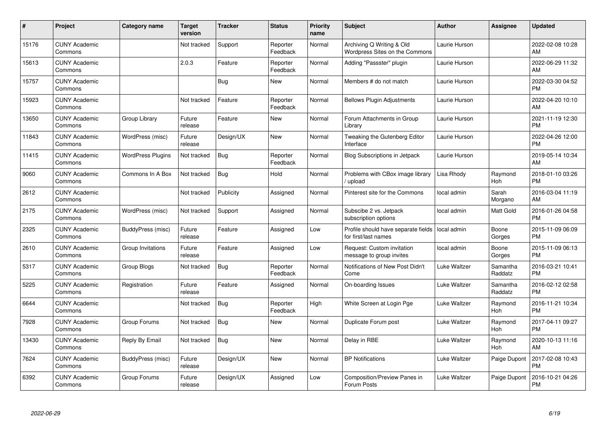| #     | Project                         | <b>Category name</b>     | <b>Target</b><br>version | <b>Tracker</b> | <b>Status</b>        | <b>Priority</b><br>name | <b>Subject</b>                                              | <b>Author</b> | <b>Assignee</b>     | <b>Updated</b>                |
|-------|---------------------------------|--------------------------|--------------------------|----------------|----------------------|-------------------------|-------------------------------------------------------------|---------------|---------------------|-------------------------------|
| 15176 | <b>CUNY Academic</b><br>Commons |                          | Not tracked              | Support        | Reporter<br>Feedback | Normal                  | Archiving Q Writing & Old<br>Wordpress Sites on the Commons | Laurie Hurson |                     | 2022-02-08 10:28<br>AM        |
| 15613 | <b>CUNY Academic</b><br>Commons |                          | 2.0.3                    | Feature        | Reporter<br>Feedback | Normal                  | Adding "Passster" plugin                                    | Laurie Hurson |                     | 2022-06-29 11:32<br>AM        |
| 15757 | <b>CUNY Academic</b><br>Commons |                          |                          | <b>Bug</b>     | <b>New</b>           | Normal                  | Members # do not match                                      | Laurie Hurson |                     | 2022-03-30 04:52<br><b>PM</b> |
| 15923 | <b>CUNY Academic</b><br>Commons |                          | Not tracked              | Feature        | Reporter<br>Feedback | Normal                  | <b>Bellows Plugin Adjustments</b>                           | Laurie Hurson |                     | 2022-04-20 10:10<br>AM        |
| 13650 | <b>CUNY Academic</b><br>Commons | Group Library            | Future<br>release        | Feature        | <b>New</b>           | Normal                  | Forum Attachments in Group<br>Library                       | Laurie Hurson |                     | 2021-11-19 12:30<br><b>PM</b> |
| 11843 | <b>CUNY Academic</b><br>Commons | WordPress (misc)         | Future<br>release        | Design/UX      | <b>New</b>           | Normal                  | Tweaking the Gutenberg Editor<br>Interface                  | Laurie Hurson |                     | 2022-04-26 12:00<br><b>PM</b> |
| 11415 | <b>CUNY Academic</b><br>Commons | <b>WordPress Plugins</b> | Not tracked              | <b>Bug</b>     | Reporter<br>Feedback | Normal                  | <b>Blog Subscriptions in Jetpack</b>                        | Laurie Hurson |                     | 2019-05-14 10:34<br>AM        |
| 9060  | <b>CUNY Academic</b><br>Commons | Commons In A Box         | Not tracked              | <b>Bug</b>     | Hold                 | Normal                  | Problems with CBox image library<br>/ upload                | Lisa Rhody    | Raymond<br>Hoh      | 2018-01-10 03:26<br><b>PM</b> |
| 2612  | <b>CUNY Academic</b><br>Commons |                          | Not tracked              | Publicity      | Assigned             | Normal                  | Pinterest site for the Commons                              | local admin   | Sarah<br>Morgano    | 2016-03-04 11:19<br>AM        |
| 2175  | <b>CUNY Academic</b><br>Commons | WordPress (misc)         | Not tracked              | Support        | Assigned             | Normal                  | Subscibe 2 vs. Jetpack<br>subscription options              | local admin   | Matt Gold           | 2016-01-26 04:58<br><b>PM</b> |
| 2325  | <b>CUNY Academic</b><br>Commons | BuddyPress (misc)        | Future<br>release        | Feature        | Assigned             | Low                     | Profile should have separate fields<br>for first/last names | local admin   | Boone<br>Gorges     | 2015-11-09 06:09<br><b>PM</b> |
| 2610  | <b>CUNY Academic</b><br>Commons | Group Invitations        | Future<br>release        | Feature        | Assigned             | Low                     | Request: Custom invitation<br>message to group invites      | local admin   | Boone<br>Gorges     | 2015-11-09 06:13<br><b>PM</b> |
| 5317  | <b>CUNY Academic</b><br>Commons | Group Blogs              | Not tracked              | <b>Bug</b>     | Reporter<br>Feedback | Normal                  | Notifications of New Post Didn't<br>Come                    | Luke Waltzer  | Samantha<br>Raddatz | 2016-03-21 10:41<br><b>PM</b> |
| 5225  | <b>CUNY Academic</b><br>Commons | Registration             | Future<br>release        | Feature        | Assigned             | Normal                  | On-boarding Issues                                          | Luke Waltzer  | Samantha<br>Raddatz | 2016-02-12 02:58<br><b>PM</b> |
| 6644  | <b>CUNY Academic</b><br>Commons |                          | Not tracked              | <b>Bug</b>     | Reporter<br>Feedback | High                    | White Screen at Login Pge                                   | Luke Waltzer  | Raymond<br>Hoh      | 2016-11-21 10:34<br><b>PM</b> |
| 7928  | <b>CUNY Academic</b><br>Commons | Group Forums             | Not tracked              | Bug            | <b>New</b>           | Normal                  | Duplicate Forum post                                        | Luke Waltzer  | Raymond<br>Hoh      | 2017-04-11 09:27<br><b>PM</b> |
| 13430 | <b>CUNY Academic</b><br>Commons | Reply By Email           | Not tracked              | Bug            | New                  | Normal                  | Delay in RBE                                                | Luke Waltzer  | Raymond<br>Hoh      | 2020-10-13 11:16<br>AM        |
| 7624  | <b>CUNY Academic</b><br>Commons | BuddyPress (misc)        | Future<br>release        | Design/UX      | <b>New</b>           | Normal                  | <b>BP</b> Notifications                                     | Luke Waltzer  | Paige Dupont        | 2017-02-08 10:43<br><b>PM</b> |
| 6392  | <b>CUNY Academic</b><br>Commons | Group Forums             | Future<br>release        | Design/UX      | Assigned             | Low                     | <b>Composition/Preview Panes in</b><br>Forum Posts          | Luke Waltzer  | Paige Dupont        | 2016-10-21 04:26<br><b>PM</b> |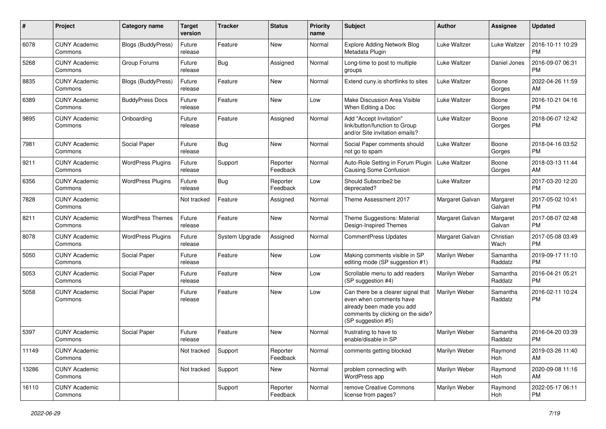| #     | Project                         | Category name             | <b>Target</b><br>version | <b>Tracker</b> | <b>Status</b>        | <b>Priority</b><br>name | <b>Subject</b>                                                                                                                                        | Author          | Assignee            | <b>Updated</b>                |
|-------|---------------------------------|---------------------------|--------------------------|----------------|----------------------|-------------------------|-------------------------------------------------------------------------------------------------------------------------------------------------------|-----------------|---------------------|-------------------------------|
| 6078  | <b>CUNY Academic</b><br>Commons | <b>Blogs (BuddyPress)</b> | Future<br>release        | Feature        | <b>New</b>           | Normal                  | <b>Explore Adding Network Blog</b><br>Metadata Plugin                                                                                                 | Luke Waltzer    | Luke Waltzer        | 2016-10-11 10:29<br><b>PM</b> |
| 5268  | <b>CUNY Academic</b><br>Commons | Group Forums              | Future<br>release        | <b>Bug</b>     | Assigned             | Normal                  | Long-time to post to multiple<br>groups                                                                                                               | Luke Waltzer    | Daniel Jones        | 2016-09-07 06:31<br><b>PM</b> |
| 8835  | <b>CUNY Academic</b><br>Commons | Blogs (BuddyPress)        | Future<br>release        | Feature        | <b>New</b>           | Normal                  | Extend cuny.is shortlinks to sites                                                                                                                    | Luke Waltzer    | Boone<br>Gorges     | 2022-04-26 11:59<br>AM        |
| 6389  | <b>CUNY Academic</b><br>Commons | <b>BuddyPress Docs</b>    | Future<br>release        | Feature        | <b>New</b>           | Low                     | Make Discussion Area Visible<br>When Editing a Doc                                                                                                    | Luke Waltzer    | Boone<br>Gorges     | 2016-10-21 04:16<br><b>PM</b> |
| 9895  | <b>CUNY Academic</b><br>Commons | Onboarding                | Future<br>release        | Feature        | Assigned             | Normal                  | Add "Accept Invitation"<br>link/button/function to Group<br>and/or Site invitation emails?                                                            | Luke Waltzer    | Boone<br>Gorges     | 2018-06-07 12:42<br><b>PM</b> |
| 7981  | <b>CUNY Academic</b><br>Commons | Social Paper              | Future<br>release        | <b>Bug</b>     | <b>New</b>           | Normal                  | Social Paper comments should<br>not go to spam                                                                                                        | Luke Waltzer    | Boone<br>Gorges     | 2018-04-16 03:52<br><b>PM</b> |
| 9211  | <b>CUNY Academic</b><br>Commons | <b>WordPress Plugins</b>  | Future<br>release        | Support        | Reporter<br>Feedback | Normal                  | Auto-Role Setting in Forum Plugin<br><b>Causing Some Confusion</b>                                                                                    | Luke Waltzer    | Boone<br>Gorges     | 2018-03-13 11:44<br>AM        |
| 6356  | <b>CUNY Academic</b><br>Commons | <b>WordPress Plugins</b>  | Future<br>release        | Bug            | Reporter<br>Feedback | Low                     | Should Subscribe2 be<br>deprecated?                                                                                                                   | Luke Waltzer    |                     | 2017-03-20 12:20<br><b>PM</b> |
| 7828  | <b>CUNY Academic</b><br>Commons |                           | Not tracked              | Feature        | Assigned             | Normal                  | Theme Assessment 2017                                                                                                                                 | Margaret Galvan | Margaret<br>Galvan  | 2017-05-02 10:41<br><b>PM</b> |
| 8211  | <b>CUNY Academic</b><br>Commons | <b>WordPress Themes</b>   | Future<br>release        | Feature        | New                  | Normal                  | Theme Suggestions: Material<br>Design-Inspired Themes                                                                                                 | Margaret Galvan | Margaret<br>Galvan  | 2017-08-07 02:48<br><b>PM</b> |
| 8078  | <b>CUNY Academic</b><br>Commons | <b>WordPress Plugins</b>  | Future<br>release        | System Upgrade | Assigned             | Normal                  | <b>CommentPress Updates</b>                                                                                                                           | Margaret Galvan | Christian<br>Wach   | 2017-05-08 03:49<br><b>PM</b> |
| 5050  | <b>CUNY Academic</b><br>Commons | Social Paper              | Future<br>release        | Feature        | <b>New</b>           | Low                     | Making comments visible in SP<br>editing mode (SP suggestion #1)                                                                                      | Marilyn Weber   | Samantha<br>Raddatz | 2019-09-17 11:10<br><b>PM</b> |
| 5053  | <b>CUNY Academic</b><br>Commons | Social Paper              | Future<br>release        | Feature        | <b>New</b>           | Low                     | Scrollable menu to add readers<br>(SP suggestion #4)                                                                                                  | Marilyn Weber   | Samantha<br>Raddatz | 2016-04-21 05:21<br><b>PM</b> |
| 5058  | <b>CUNY Academic</b><br>Commons | Social Paper              | Future<br>release        | Feature        | <b>New</b>           | Low                     | Can there be a clearer signal that<br>even when comments have<br>already been made you add<br>comments by clicking on the side?<br>(SP suggestion #5) | Marilyn Weber   | Samantha<br>Raddatz | 2016-02-11 10:24<br><b>PM</b> |
| 5397  | <b>CUNY Academic</b><br>Commons | Social Paper              | Future<br>release        | Feature        | <b>New</b>           | Normal                  | frustrating to have to<br>enable/disable in SP                                                                                                        | Marilyn Weber   | Samantha<br>Raddatz | 2016-04-20 03:39<br><b>PM</b> |
| 11149 | <b>CUNY Academic</b><br>Commons |                           | Not tracked              | Support        | Reporter<br>Feedback | Normal                  | comments getting blocked                                                                                                                              | Marilyn Weber   | Raymond<br>Hoh      | 2019-03-26 11:40<br>AM        |
| 13286 | <b>CUNY Academic</b><br>Commons |                           | Not tracked              | Support        | New                  | Normal                  | problem connecting with<br>WordPress app                                                                                                              | Marilyn Weber   | Raymond<br>Hoh      | 2020-09-08 11:16<br>AM        |
| 16110 | <b>CUNY Academic</b><br>Commons |                           |                          | Support        | Reporter<br>Feedback | Normal                  | remove Creative Commons<br>license from pages?                                                                                                        | Marilyn Weber   | Raymond<br>Hoh      | 2022-05-17 06:11<br><b>PM</b> |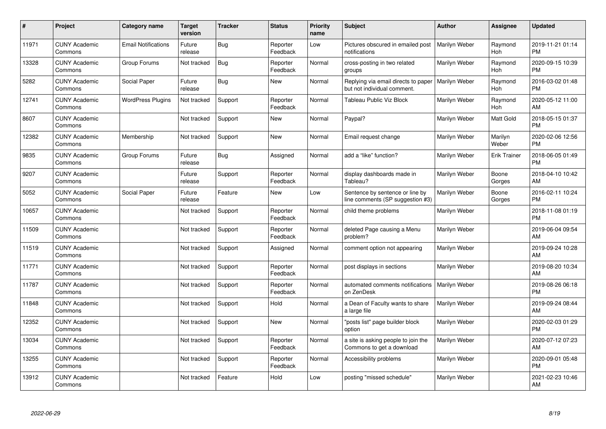| #     | Project                         | <b>Category name</b>       | Target<br>version | <b>Tracker</b> | <b>Status</b>        | <b>Priority</b><br>name | <b>Subject</b>                                                      | <b>Author</b> | <b>Assignee</b>     | <b>Updated</b>                |
|-------|---------------------------------|----------------------------|-------------------|----------------|----------------------|-------------------------|---------------------------------------------------------------------|---------------|---------------------|-------------------------------|
| 11971 | <b>CUNY Academic</b><br>Commons | <b>Email Notifications</b> | Future<br>release | <b>Bug</b>     | Reporter<br>Feedback | Low                     | Pictures obscured in emailed post<br>notifications                  | Marilyn Weber | Raymond<br>Hoh      | 2019-11-21 01:14<br><b>PM</b> |
| 13328 | <b>CUNY Academic</b><br>Commons | Group Forums               | Not tracked       | Bug            | Reporter<br>Feedback | Normal                  | cross-posting in two related<br>groups                              | Marilyn Weber | Raymond<br>Hoh      | 2020-09-15 10:39<br><b>PM</b> |
| 5282  | <b>CUNY Academic</b><br>Commons | Social Paper               | Future<br>release | <b>Bug</b>     | <b>New</b>           | Normal                  | Replying via email directs to paper<br>but not individual comment.  | Marilyn Weber | Raymond<br>Hoh      | 2016-03-02 01:48<br><b>PM</b> |
| 12741 | <b>CUNY Academic</b><br>Commons | <b>WordPress Plugins</b>   | Not tracked       | Support        | Reporter<br>Feedback | Normal                  | Tableau Public Viz Block                                            | Marilyn Weber | Raymond<br>Hoh      | 2020-05-12 11:00<br>AM        |
| 8607  | <b>CUNY Academic</b><br>Commons |                            | Not tracked       | Support        | <b>New</b>           | Normal                  | Paypal?                                                             | Marilyn Weber | Matt Gold           | 2018-05-15 01:37<br><b>PM</b> |
| 12382 | <b>CUNY Academic</b><br>Commons | Membership                 | Not tracked       | Support        | <b>New</b>           | Normal                  | Email request change                                                | Marilyn Weber | Marilyn<br>Weber    | 2020-02-06 12:56<br><b>PM</b> |
| 9835  | <b>CUNY Academic</b><br>Commons | Group Forums               | Future<br>release | Bug            | Assigned             | Normal                  | add a "like" function?                                              | Marilyn Weber | <b>Erik Trainer</b> | 2018-06-05 01:49<br><b>PM</b> |
| 9207  | <b>CUNY Academic</b><br>Commons |                            | Future<br>release | Support        | Reporter<br>Feedback | Normal                  | display dashboards made in<br>Tableau?                              | Marilyn Weber | Boone<br>Gorges     | 2018-04-10 10:42<br>AM        |
| 5052  | <b>CUNY Academic</b><br>Commons | Social Paper               | Future<br>release | Feature        | <b>New</b>           | Low                     | Sentence by sentence or line by<br>line comments (SP suggestion #3) | Marilyn Weber | Boone<br>Gorges     | 2016-02-11 10:24<br><b>PM</b> |
| 10657 | <b>CUNY Academic</b><br>Commons |                            | Not tracked       | Support        | Reporter<br>Feedback | Normal                  | child theme problems                                                | Marilyn Weber |                     | 2018-11-08 01:19<br><b>PM</b> |
| 11509 | <b>CUNY Academic</b><br>Commons |                            | Not tracked       | Support        | Reporter<br>Feedback | Normal                  | deleted Page causing a Menu<br>problem?                             | Marilyn Weber |                     | 2019-06-04 09:54<br>AM        |
| 11519 | <b>CUNY Academic</b><br>Commons |                            | Not tracked       | Support        | Assigned             | Normal                  | comment option not appearing                                        | Marilyn Weber |                     | 2019-09-24 10:28<br>AM        |
| 11771 | <b>CUNY Academic</b><br>Commons |                            | Not tracked       | Support        | Reporter<br>Feedback | Normal                  | post displays in sections                                           | Marilyn Weber |                     | 2019-08-20 10:34<br>AM        |
| 11787 | <b>CUNY Academic</b><br>Commons |                            | Not tracked       | Support        | Reporter<br>Feedback | Normal                  | automated comments notifications<br>on ZenDesk                      | Marilyn Weber |                     | 2019-08-26 06:18<br><b>PM</b> |
| 11848 | <b>CUNY Academic</b><br>Commons |                            | Not tracked       | Support        | Hold                 | Normal                  | a Dean of Faculty wants to share<br>a large file                    | Marilyn Weber |                     | 2019-09-24 08:44<br>AM        |
| 12352 | <b>CUNY Academic</b><br>Commons |                            | Not tracked       | Support        | New                  | Normal                  | "posts list" page builder block<br>option                           | Marilyn Weber |                     | 2020-02-03 01:29<br><b>PM</b> |
| 13034 | <b>CUNY Academic</b><br>Commons |                            | Not tracked       | Support        | Reporter<br>Feedback | Normal                  | a site is asking people to join the<br>Commons to get a download    | Marilyn Weber |                     | 2020-07-12 07:23<br>AM        |
| 13255 | <b>CUNY Academic</b><br>Commons |                            | Not tracked       | Support        | Reporter<br>Feedback | Normal                  | Accessibility problems                                              | Marilyn Weber |                     | 2020-09-01 05:48<br><b>PM</b> |
| 13912 | <b>CUNY Academic</b><br>Commons |                            | Not tracked       | Feature        | Hold                 | Low                     | posting "missed schedule"                                           | Marilyn Weber |                     | 2021-02-23 10:46<br>AM        |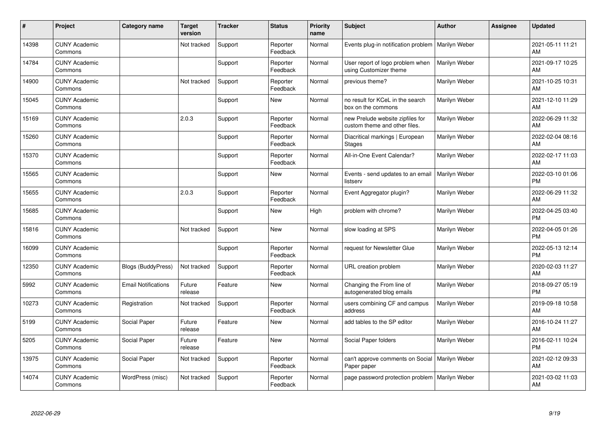| $\#$  | Project                         | Category name              | <b>Target</b><br>version | <b>Tracker</b> | <b>Status</b>        | <b>Priority</b><br>name | <b>Subject</b>                                                    | <b>Author</b> | <b>Assignee</b> | <b>Updated</b>                |
|-------|---------------------------------|----------------------------|--------------------------|----------------|----------------------|-------------------------|-------------------------------------------------------------------|---------------|-----------------|-------------------------------|
| 14398 | <b>CUNY Academic</b><br>Commons |                            | Not tracked              | Support        | Reporter<br>Feedback | Normal                  | Events plug-in notification problem                               | Marilyn Weber |                 | 2021-05-11 11:21<br>AM        |
| 14784 | <b>CUNY Academic</b><br>Commons |                            |                          | Support        | Reporter<br>Feedback | Normal                  | User report of logo problem when<br>using Customizer theme        | Marilyn Weber |                 | 2021-09-17 10:25<br>AM        |
| 14900 | <b>CUNY Academic</b><br>Commons |                            | Not tracked              | Support        | Reporter<br>Feedback | Normal                  | previous theme?                                                   | Marilyn Weber |                 | 2021-10-25 10:31<br>AM        |
| 15045 | <b>CUNY Academic</b><br>Commons |                            |                          | Support        | New                  | Normal                  | no result for KCeL in the search<br>box on the commons            | Marilyn Weber |                 | 2021-12-10 11:29<br>AM        |
| 15169 | <b>CUNY Academic</b><br>Commons |                            | 2.0.3                    | Support        | Reporter<br>Feedback | Normal                  | new Prelude website zipfiles for<br>custom theme and other files. | Marilyn Weber |                 | 2022-06-29 11:32<br>AM        |
| 15260 | <b>CUNY Academic</b><br>Commons |                            |                          | Support        | Reporter<br>Feedback | Normal                  | Diacritical markings   European<br>Stages                         | Marilyn Weber |                 | 2022-02-04 08:16<br>AM        |
| 15370 | <b>CUNY Academic</b><br>Commons |                            |                          | Support        | Reporter<br>Feedback | Normal                  | All-in-One Event Calendar?                                        | Marilyn Weber |                 | 2022-02-17 11:03<br>AM        |
| 15565 | <b>CUNY Academic</b><br>Commons |                            |                          | Support        | New                  | Normal                  | Events - send updates to an email<br>listserv                     | Marilyn Weber |                 | 2022-03-10 01:06<br><b>PM</b> |
| 15655 | <b>CUNY Academic</b><br>Commons |                            | 2.0.3                    | Support        | Reporter<br>Feedback | Normal                  | Event Aggregator plugin?                                          | Marilyn Weber |                 | 2022-06-29 11:32<br>AM        |
| 15685 | <b>CUNY Academic</b><br>Commons |                            |                          | Support        | New                  | High                    | problem with chrome?                                              | Marilyn Weber |                 | 2022-04-25 03:40<br><b>PM</b> |
| 15816 | <b>CUNY Academic</b><br>Commons |                            | Not tracked              | Support        | <b>New</b>           | Normal                  | slow loading at SPS                                               | Marilyn Weber |                 | 2022-04-05 01:26<br><b>PM</b> |
| 16099 | <b>CUNY Academic</b><br>Commons |                            |                          | Support        | Reporter<br>Feedback | Normal                  | request for Newsletter Glue                                       | Marilyn Weber |                 | 2022-05-13 12:14<br><b>PM</b> |
| 12350 | <b>CUNY Academic</b><br>Commons | <b>Blogs (BuddyPress)</b>  | Not tracked              | Support        | Reporter<br>Feedback | Normal                  | URL creation problem                                              | Marilyn Weber |                 | 2020-02-03 11:27<br>AM        |
| 5992  | <b>CUNY Academic</b><br>Commons | <b>Email Notifications</b> | Future<br>release        | Feature        | New                  | Normal                  | Changing the From line of<br>autogenerated blog emails            | Marilyn Weber |                 | 2018-09-27 05:19<br><b>PM</b> |
| 10273 | <b>CUNY Academic</b><br>Commons | Registration               | Not tracked              | Support        | Reporter<br>Feedback | Normal                  | users combining CF and campus<br>address                          | Marilyn Weber |                 | 2019-09-18 10:58<br>AM        |
| 5199  | <b>CUNY Academic</b><br>Commons | Social Paper               | Future<br>release        | Feature        | New                  | Normal                  | add tables to the SP editor                                       | Marilyn Weber |                 | 2016-10-24 11:27<br>AM        |
| 5205  | <b>CUNY Academic</b><br>Commons | Social Paper               | Future<br>release        | Feature        | New                  | Normal                  | Social Paper folders                                              | Marilyn Weber |                 | 2016-02-11 10:24<br><b>PM</b> |
| 13975 | <b>CUNY Academic</b><br>Commons | Social Paper               | Not tracked              | Support        | Reporter<br>Feedback | Normal                  | can't approve comments on Social<br>Paper paper                   | Marilyn Weber |                 | 2021-02-12 09:33<br>AM        |
| 14074 | <b>CUNY Academic</b><br>Commons | WordPress (misc)           | Not tracked              | Support        | Reporter<br>Feedback | Normal                  | page password protection problem                                  | Marilyn Weber |                 | 2021-03-02 11:03<br>AM        |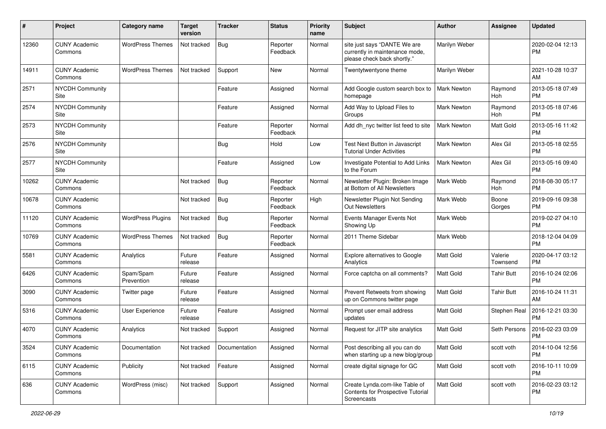| #     | Project                         | Category name            | Target<br>version | <b>Tracker</b> | <b>Status</b>        | Priority<br>name | <b>Subject</b>                                                                                | <b>Author</b>      | <b>Assignee</b>     | <b>Updated</b>                |
|-------|---------------------------------|--------------------------|-------------------|----------------|----------------------|------------------|-----------------------------------------------------------------------------------------------|--------------------|---------------------|-------------------------------|
| 12360 | <b>CUNY Academic</b><br>Commons | <b>WordPress Themes</b>  | Not tracked       | <b>Bug</b>     | Reporter<br>Feedback | Normal           | site just says "DANTE We are<br>currently in maintenance mode,<br>please check back shortly." | Marilyn Weber      |                     | 2020-02-04 12:13<br><b>PM</b> |
| 14911 | <b>CUNY Academic</b><br>Commons | <b>WordPress Themes</b>  | Not tracked       | Support        | <b>New</b>           | Normal           | Twentytwentyone theme                                                                         | Marilyn Weber      |                     | 2021-10-28 10:37<br>AM        |
| 2571  | <b>NYCDH Community</b><br>Site  |                          |                   | Feature        | Assigned             | Normal           | Add Google custom search box to<br>homepage                                                   | <b>Mark Newton</b> | Raymond<br>Hoh      | 2013-05-18 07:49<br><b>PM</b> |
| 2574  | <b>NYCDH Community</b><br>Site  |                          |                   | Feature        | Assigned             | Normal           | Add Way to Upload Files to<br>Groups                                                          | <b>Mark Newton</b> | Raymond<br>Hoh      | 2013-05-18 07:46<br><b>PM</b> |
| 2573  | <b>NYCDH Community</b><br>Site  |                          |                   | Feature        | Reporter<br>Feedback | Normal           | Add dh_nyc twitter list feed to site                                                          | <b>Mark Newton</b> | <b>Matt Gold</b>    | 2013-05-16 11:42<br><b>PM</b> |
| 2576  | <b>NYCDH Community</b><br>Site  |                          |                   | <b>Bug</b>     | Hold                 | Low              | Test Next Button in Javascript<br><b>Tutorial Under Activities</b>                            | <b>Mark Newton</b> | Alex Gil            | 2013-05-18 02:55<br><b>PM</b> |
| 2577  | <b>NYCDH Community</b><br>Site  |                          |                   | Feature        | Assigned             | Low              | Investigate Potential to Add Links<br>to the Forum                                            | <b>Mark Newton</b> | Alex Gil            | 2013-05-16 09:40<br><b>PM</b> |
| 10262 | <b>CUNY Academic</b><br>Commons |                          | Not tracked       | <b>Bug</b>     | Reporter<br>Feedback | Normal           | Newsletter Plugin: Broken Image<br>at Bottom of All Newsletters                               | Mark Webb          | Raymond<br>Hoh      | 2018-08-30 05:17<br><b>PM</b> |
| 10678 | <b>CUNY Academic</b><br>Commons |                          | Not tracked       | <b>Bug</b>     | Reporter<br>Feedback | High             | Newsletter Plugin Not Sending<br><b>Out Newsletters</b>                                       | Mark Webb          | Boone<br>Gorges     | 2019-09-16 09:38<br>PM.       |
| 11120 | <b>CUNY Academic</b><br>Commons | <b>WordPress Plugins</b> | Not tracked       | <b>Bug</b>     | Reporter<br>Feedback | Normal           | Events Manager Events Not<br>Showing Up                                                       | Mark Webb          |                     | 2019-02-27 04:10<br><b>PM</b> |
| 10769 | <b>CUNY Academic</b><br>Commons | <b>WordPress Themes</b>  | Not tracked       | <b>Bug</b>     | Reporter<br>Feedback | Normal           | 2011 Theme Sidebar                                                                            | Mark Webb          |                     | 2018-12-04 04:09<br><b>PM</b> |
| 5581  | <b>CUNY Academic</b><br>Commons | Analytics                | Future<br>release | Feature        | Assigned             | Normal           | Explore alternatives to Google<br>Analytics                                                   | Matt Gold          | Valerie<br>Townsend | 2020-04-17 03:12<br><b>PM</b> |
| 6426  | <b>CUNY Academic</b><br>Commons | Spam/Spam<br>Prevention  | Future<br>release | Feature        | Assigned             | Normal           | Force captcha on all comments?                                                                | <b>Matt Gold</b>   | <b>Tahir Butt</b>   | 2016-10-24 02:06<br><b>PM</b> |
| 3090  | <b>CUNY Academic</b><br>Commons | Twitter page             | Future<br>release | Feature        | Assigned             | Normal           | Prevent Retweets from showing<br>up on Commons twitter page                                   | Matt Gold          | <b>Tahir Butt</b>   | 2016-10-24 11:31<br>AM        |
| 5316  | <b>CUNY Academic</b><br>Commons | <b>User Experience</b>   | Future<br>release | Feature        | Assigned             | Normal           | Prompt user email address<br>updates                                                          | Matt Gold          | Stephen Real        | 2016-12-21 03:30<br>PM        |
| 4070  | <b>CUNY Academic</b><br>Commons | Analytics                | Not tracked       | Support        | Assigned             | Normal           | Request for JITP site analytics                                                               | Matt Gold          | Seth Persons        | 2016-02-23 03:09<br><b>PM</b> |
| 3524  | <b>CUNY Academic</b><br>Commons | Documentation            | Not tracked       | Documentation  | Assigned             | Normal           | Post describing all you can do<br>when starting up a new blog/group                           | Matt Gold          | scott voth          | 2014-10-04 12:56<br>PM        |
| 6115  | <b>CUNY Academic</b><br>Commons | Publicity                | Not tracked       | Feature        | Assigned             | Normal           | create digital signage for GC                                                                 | Matt Gold          | scott voth          | 2016-10-11 10:09<br><b>PM</b> |
| 636   | <b>CUNY Academic</b><br>Commons | WordPress (misc)         | Not tracked       | Support        | Assigned             | Normal           | Create Lynda.com-like Table of<br>Contents for Prospective Tutorial<br>Screencasts            | Matt Gold          | scott voth          | 2016-02-23 03:12<br><b>PM</b> |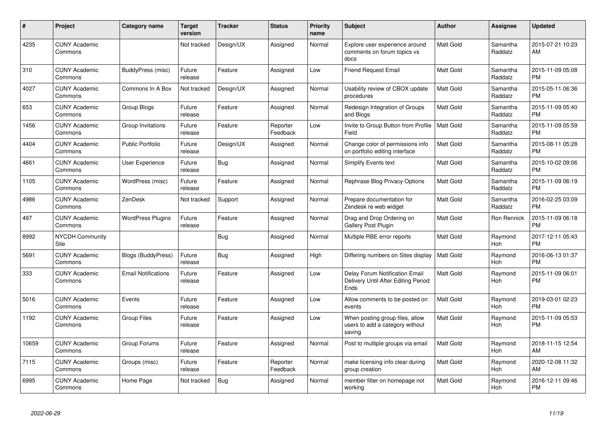| #     | Project                         | <b>Category name</b>       | <b>Target</b><br>version | <b>Tracker</b> | <b>Status</b>        | <b>Priority</b><br>name | <b>Subject</b>                                                                | <b>Author</b>    | <b>Assignee</b>     | <b>Updated</b>                |
|-------|---------------------------------|----------------------------|--------------------------|----------------|----------------------|-------------------------|-------------------------------------------------------------------------------|------------------|---------------------|-------------------------------|
| 4235  | <b>CUNY Academic</b><br>Commons |                            | Not tracked              | Design/UX      | Assigned             | Normal                  | Explore user experience around<br>comments on forum topics vs<br>docs         | Matt Gold        | Samantha<br>Raddatz | 2015-07-21 10:23<br>AM        |
| 310   | <b>CUNY Academic</b><br>Commons | BuddyPress (misc)          | Future<br>release        | Feature        | Assigned             | Low                     | <b>Friend Request Email</b>                                                   | <b>Matt Gold</b> | Samantha<br>Raddatz | 2015-11-09 05:08<br><b>PM</b> |
| 4027  | <b>CUNY Academic</b><br>Commons | Commons In A Box           | Not tracked              | Design/UX      | Assigned             | Normal                  | Usability review of CBOX update<br>procedures                                 | <b>Matt Gold</b> | Samantha<br>Raddatz | 2015-05-11 06:36<br><b>PM</b> |
| 653   | <b>CUNY Academic</b><br>Commons | Group Blogs                | Future<br>release        | Feature        | Assigned             | Normal                  | Redesign Integration of Groups<br>and Blogs                                   | <b>Matt Gold</b> | Samantha<br>Raddatz | 2015-11-09 05:40<br><b>PM</b> |
| 1456  | <b>CUNY Academic</b><br>Commons | Group Invitations          | Future<br>release        | Feature        | Reporter<br>Feedback | Low                     | Invite to Group Button from Profile<br>Field                                  | <b>Matt Gold</b> | Samantha<br>Raddatz | 2015-11-09 05:59<br><b>PM</b> |
| 4404  | <b>CUNY Academic</b><br>Commons | <b>Public Portfolio</b>    | Future<br>release        | Design/UX      | Assigned             | Normal                  | Change color of permissions info<br>on portfolio editing interface            | <b>Matt Gold</b> | Samantha<br>Raddatz | 2015-08-11 05:28<br><b>PM</b> |
| 4661  | <b>CUNY Academic</b><br>Commons | User Experience            | Future<br>release        | Bug            | Assigned             | Normal                  | <b>Simplify Events text</b>                                                   | Matt Gold        | Samantha<br>Raddatz | 2015-10-02 09:06<br><b>PM</b> |
| 1105  | <b>CUNY Academic</b><br>Commons | WordPress (misc)           | Future<br>release        | Feature        | Assigned             | Normal                  | Rephrase Blog Privacy Options                                                 | Matt Gold        | Samantha<br>Raddatz | 2015-11-09 06:19<br><b>PM</b> |
| 4986  | <b>CUNY Academic</b><br>Commons | ZenDesk                    | Not tracked              | Support        | Assigned             | Normal                  | Prepare documentation for<br>Zendesk re web widget                            | Matt Gold        | Samantha<br>Raddatz | 2016-02-25 03:09<br><b>PM</b> |
| 497   | <b>CUNY Academic</b><br>Commons | <b>WordPress Plugins</b>   | Future<br>release        | Feature        | Assigned             | Normal                  | Drag and Drop Ordering on<br>Gallery Post Plugin                              | <b>Matt Gold</b> | Ron Rennick         | 2015-11-09 06:18<br><b>PM</b> |
| 8992  | <b>NYCDH Community</b><br>Site  |                            |                          | Bug            | Assigned             | Normal                  | Multiple RBE error reports                                                    | <b>Matt Gold</b> | Raymond<br>Hoh      | 2017-12-11 05:43<br><b>PM</b> |
| 5691  | <b>CUNY Academic</b><br>Commons | <b>Blogs (BuddyPress)</b>  | Future<br>release        | <b>Bug</b>     | Assigned             | High                    | Differing numbers on Sites display                                            | <b>Matt Gold</b> | Raymond<br>Hoh      | 2016-06-13 01:37<br><b>PM</b> |
| 333   | <b>CUNY Academic</b><br>Commons | <b>Email Notifications</b> | Future<br>release        | Feature        | Assigned             | Low                     | Delay Forum Notification Email<br>Delivery Until After Editing Period<br>Ends | Matt Gold        | Raymond<br>Hoh      | 2015-11-09 06:01<br><b>PM</b> |
| 5016  | <b>CUNY Academic</b><br>Commons | Events                     | Future<br>release        | Feature        | Assigned             | Low                     | Allow comments to be posted on<br>events                                      | <b>Matt Gold</b> | Raymond<br>Hoh      | 2019-03-01 02:23<br><b>PM</b> |
| 1192  | <b>CUNY Academic</b><br>Commons | <b>Group Files</b>         | Future<br>release        | Feature        | Assigned             | Low                     | When posting group files, allow<br>users to add a category without<br>saving  | Matt Gold        | Raymond<br>Hoh      | 2015-11-09 05:53<br><b>PM</b> |
| 10659 | <b>CUNY Academic</b><br>Commons | Group Forums               | Future<br>release        | Feature        | Assigned             | Normal                  | Post to multiple groups via email                                             | <b>Matt Gold</b> | Raymond<br>Hoh      | 2018-11-15 12:54<br>AM        |
| 7115  | <b>CUNY Academic</b><br>Commons | Groups (misc)              | Future<br>release        | Feature        | Reporter<br>Feedback | Normal                  | make licensing info clear during<br>group creation                            | Matt Gold        | Raymond<br>Hoh      | 2020-12-08 11:32<br>AM        |
| 6995  | <b>CUNY Academic</b><br>Commons | Home Page                  | Not tracked              | Bug            | Assigned             | Normal                  | member filter on homepage not<br>working                                      | Matt Gold        | Raymond<br>Hoh      | 2016-12-11 09:46<br><b>PM</b> |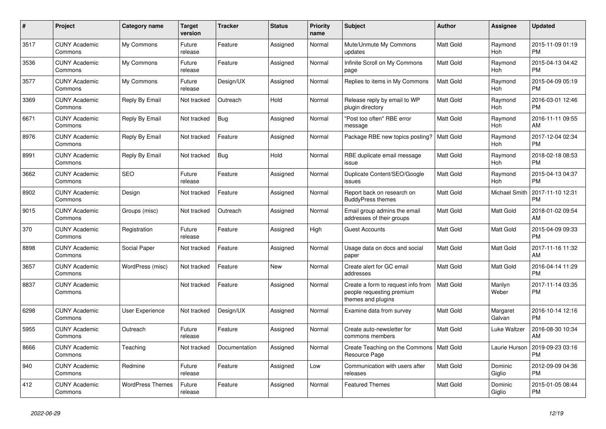| $\#$ | Project                         | <b>Category name</b>    | <b>Target</b><br>version | <b>Tracker</b> | <b>Status</b> | <b>Priority</b><br>name | <b>Subject</b>                                                                        | Author           | Assignee              | <b>Updated</b>                |
|------|---------------------------------|-------------------------|--------------------------|----------------|---------------|-------------------------|---------------------------------------------------------------------------------------|------------------|-----------------------|-------------------------------|
| 3517 | <b>CUNY Academic</b><br>Commons | My Commons              | Future<br>release        | Feature        | Assigned      | Normal                  | Mute/Unmute My Commons<br>updates                                                     | Matt Gold        | Raymond<br>Hoh        | 2015-11-09 01:19<br><b>PM</b> |
| 3536 | <b>CUNY Academic</b><br>Commons | My Commons              | Future<br>release        | Feature        | Assigned      | Normal                  | Infinite Scroll on My Commons<br>page                                                 | <b>Matt Gold</b> | Raymond<br>Hoh        | 2015-04-13 04:42<br><b>PM</b> |
| 3577 | <b>CUNY Academic</b><br>Commons | My Commons              | Future<br>release        | Design/UX      | Assigned      | Normal                  | Replies to items in My Commons                                                        | <b>Matt Gold</b> | Raymond<br>Hoh        | 2015-04-09 05:19<br><b>PM</b> |
| 3369 | <b>CUNY Academic</b><br>Commons | Reply By Email          | Not tracked              | Outreach       | Hold          | Normal                  | Release reply by email to WP<br>plugin directory                                      | <b>Matt Gold</b> | Raymond<br>Hoh        | 2016-03-01 12:46<br><b>PM</b> |
| 6671 | <b>CUNY Academic</b><br>Commons | Reply By Email          | Not tracked              | <b>Bug</b>     | Assigned      | Normal                  | 'Post too often" RBE error<br>message                                                 | <b>Matt Gold</b> | Raymond<br>Hoh        | 2016-11-11 09:55<br>AM        |
| 8976 | <b>CUNY Academic</b><br>Commons | Reply By Email          | Not tracked              | Feature        | Assigned      | Normal                  | Package RBE new topics posting?   Matt Gold                                           |                  | Raymond<br>Hoh        | 2017-12-04 02:34<br><b>PM</b> |
| 8991 | <b>CUNY Academic</b><br>Commons | Reply By Email          | Not tracked              | Bug            | Hold          | Normal                  | RBE duplicate email message<br>issue                                                  | <b>Matt Gold</b> | Raymond<br><b>Hoh</b> | 2018-02-18 08:53<br><b>PM</b> |
| 3662 | <b>CUNY Academic</b><br>Commons | <b>SEO</b>              | Future<br>release        | Feature        | Assigned      | Normal                  | Duplicate Content/SEO/Google<br>issues                                                | <b>Matt Gold</b> | Raymond<br>Hoh        | 2015-04-13 04:37<br><b>PM</b> |
| 8902 | <b>CUNY Academic</b><br>Commons | Design                  | Not tracked              | Feature        | Assigned      | Normal                  | Report back on research on<br><b>BuddyPress themes</b>                                | <b>Matt Gold</b> | Michael Smith         | 2017-11-10 12:31<br><b>PM</b> |
| 9015 | <b>CUNY Academic</b><br>Commons | Groups (misc)           | Not tracked              | Outreach       | Assigned      | Normal                  | Email group admins the email<br>addresses of their groups                             | <b>Matt Gold</b> | Matt Gold             | 2018-01-02 09:54<br>AM        |
| 370  | <b>CUNY Academic</b><br>Commons | Registration            | Future<br>release        | Feature        | Assigned      | High                    | <b>Guest Accounts</b>                                                                 | Matt Gold        | Matt Gold             | 2015-04-09 09:33<br><b>PM</b> |
| 8898 | <b>CUNY Academic</b><br>Commons | Social Paper            | Not tracked              | Feature        | Assigned      | Normal                  | Usage data on docs and social<br>paper                                                | <b>Matt Gold</b> | Matt Gold             | 2017-11-16 11:32<br>AM        |
| 3657 | <b>CUNY Academic</b><br>Commons | WordPress (misc)        | Not tracked              | Feature        | <b>New</b>    | Normal                  | Create alert for GC email<br>addresses                                                | <b>Matt Gold</b> | <b>Matt Gold</b>      | 2016-04-14 11:29<br><b>PM</b> |
| 8837 | <b>CUNY Academic</b><br>Commons |                         | Not tracked              | Feature        | Assigned      | Normal                  | Create a form to request info from<br>people requesting premium<br>themes and plugins | Matt Gold        | Marilyn<br>Weber      | 2017-11-14 03:35<br>PM        |
| 6298 | <b>CUNY Academic</b><br>Commons | User Experience         | Not tracked              | Design/UX      | Assigned      | Normal                  | Examine data from survey                                                              | <b>Matt Gold</b> | Margaret<br>Galvan    | 2016-10-14 12:16<br>PM.       |
| 5955 | <b>CUNY Academic</b><br>Commons | Outreach                | Future<br>release        | Feature        | Assigned      | Normal                  | Create auto-newsletter for<br>commons members                                         | Matt Gold        | Luke Waltzer          | 2016-08-30 10:34<br>AM        |
| 8666 | <b>CUNY Academic</b><br>Commons | Teaching                | Not tracked              | Documentation  | Assigned      | Normal                  | Create Teaching on the Commons   Matt Gold<br>Resource Page                           |                  | Laurie Hurson         | 2019-09-23 03:16<br><b>PM</b> |
| 940  | <b>CUNY Academic</b><br>Commons | Redmine                 | Future<br>release        | Feature        | Assigned      | Low                     | Communication with users after<br>releases                                            | <b>Matt Gold</b> | Dominic<br>Giglio     | 2012-09-09 04:36<br><b>PM</b> |
| 412  | <b>CUNY Academic</b><br>Commons | <b>WordPress Themes</b> | Future<br>release        | Feature        | Assigned      | Normal                  | <b>Featured Themes</b>                                                                | <b>Matt Gold</b> | Dominic<br>Giglio     | 2015-01-05 08:44<br><b>PM</b> |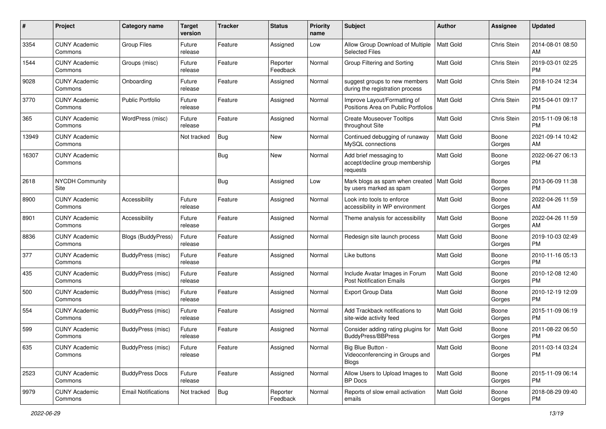| #     | Project                         | <b>Category name</b>       | <b>Target</b><br>version | <b>Tracker</b> | <b>Status</b>        | <b>Priority</b><br>name | <b>Subject</b>                                                        | <b>Author</b>    | <b>Assignee</b> | <b>Updated</b>                |
|-------|---------------------------------|----------------------------|--------------------------|----------------|----------------------|-------------------------|-----------------------------------------------------------------------|------------------|-----------------|-------------------------------|
| 3354  | <b>CUNY Academic</b><br>Commons | <b>Group Files</b>         | Future<br>release        | Feature        | Assigned             | Low                     | Allow Group Download of Multiple<br>Selected Files                    | <b>Matt Gold</b> | Chris Stein     | 2014-08-01 08:50<br>AM        |
| 1544  | <b>CUNY Academic</b><br>Commons | Groups (misc)              | Future<br>release        | Feature        | Reporter<br>Feedback | Normal                  | Group Filtering and Sorting                                           | Matt Gold        | Chris Stein     | 2019-03-01 02:25<br><b>PM</b> |
| 9028  | <b>CUNY Academic</b><br>Commons | Onboarding                 | Future<br>release        | Feature        | Assigned             | Normal                  | suggest groups to new members<br>during the registration process      | Matt Gold        | Chris Stein     | 2018-10-24 12:34<br><b>PM</b> |
| 3770  | <b>CUNY Academic</b><br>Commons | Public Portfolio           | Future<br>release        | Feature        | Assigned             | Normal                  | Improve Layout/Formatting of<br>Positions Area on Public Portfolios   | <b>Matt Gold</b> | Chris Stein     | 2015-04-01 09:17<br>PM        |
| 365   | <b>CUNY Academic</b><br>Commons | WordPress (misc)           | Future<br>release        | Feature        | Assigned             | Normal                  | <b>Create Mouseover Tooltips</b><br>throughout Site                   | Matt Gold        | Chris Stein     | 2015-11-09 06:18<br><b>PM</b> |
| 13949 | <b>CUNY Academic</b><br>Commons |                            | Not tracked              | <b>Bug</b>     | New                  | Normal                  | Continued debugging of runaway<br>MySQL connections                   | <b>Matt Gold</b> | Boone<br>Gorges | 2021-09-14 10:42<br>AM        |
| 16307 | <b>CUNY Academic</b><br>Commons |                            |                          | Bug            | New                  | Normal                  | Add brief messaging to<br>accept/decline group membership<br>requests | <b>Matt Gold</b> | Boone<br>Gorges | 2022-06-27 06:13<br>PM        |
| 2618  | <b>NYCDH Community</b><br>Site  |                            |                          | Bug            | Assigned             | Low                     | Mark blogs as spam when created<br>by users marked as spam            | Matt Gold        | Boone<br>Gorges | 2013-06-09 11:38<br>PM        |
| 8900  | <b>CUNY Academic</b><br>Commons | Accessibility              | Future<br>release        | Feature        | Assigned             | Normal                  | Look into tools to enforce<br>accessibility in WP environment         | Matt Gold        | Boone<br>Gorges | 2022-04-26 11:59<br>AM        |
| 8901  | <b>CUNY Academic</b><br>Commons | Accessibility              | Future<br>release        | Feature        | Assigned             | Normal                  | Theme analysis for accessibility                                      | <b>Matt Gold</b> | Boone<br>Gorges | 2022-04-26 11:59<br>AM        |
| 8836  | <b>CUNY Academic</b><br>Commons | Blogs (BuddyPress)         | Future<br>release        | Feature        | Assigned             | Normal                  | Redesign site launch process                                          | Matt Gold        | Boone<br>Gorges | 2019-10-03 02:49<br><b>PM</b> |
| 377   | <b>CUNY Academic</b><br>Commons | BuddyPress (misc)          | Future<br>release        | Feature        | Assigned             | Normal                  | Like buttons                                                          | <b>Matt Gold</b> | Boone<br>Gorges | 2010-11-16 05:13<br><b>PM</b> |
| 435   | <b>CUNY Academic</b><br>Commons | BuddyPress (misc)          | Future<br>release        | Feature        | Assigned             | Normal                  | Include Avatar Images in Forum<br><b>Post Notification Emails</b>     | Matt Gold        | Boone<br>Gorges | 2010-12-08 12:40<br><b>PM</b> |
| 500   | <b>CUNY Academic</b><br>Commons | BuddyPress (misc)          | Future<br>release        | Feature        | Assigned             | Normal                  | <b>Export Group Data</b>                                              | Matt Gold        | Boone<br>Gorges | 2010-12-19 12:09<br><b>PM</b> |
| 554   | <b>CUNY Academic</b><br>Commons | BuddyPress (misc)          | Future<br>release        | Feature        | Assigned             | Normal                  | Add Trackback notifications to<br>site-wide activity feed             | Matt Gold        | Boone<br>Gorges | 2015-11-09 06:19<br><b>PM</b> |
| 599   | <b>CUNY Academic</b><br>Commons | BuddyPress (misc)          | Future<br>release        | Feature        | Assigned             | Normal                  | Consider adding rating plugins for<br><b>BuddyPress/BBPress</b>       | <b>Matt Gold</b> | Boone<br>Gorges | 2011-08-22 06:50<br>PM        |
| 635   | <b>CUNY Academic</b><br>Commons | BuddyPress (misc)          | Future<br>release        | Feature        | Assigned             | Normal                  | Big Blue Button -<br>Videoconferencing in Groups and<br><b>Blogs</b>  | Matt Gold        | Boone<br>Gorges | 2011-03-14 03:24<br>PM        |
| 2523  | <b>CUNY Academic</b><br>Commons | <b>BuddyPress Docs</b>     | Future<br>release        | Feature        | Assigned             | Normal                  | Allow Users to Upload Images to<br><b>BP</b> Docs                     | <b>Matt Gold</b> | Boone<br>Gorges | 2015-11-09 06:14<br><b>PM</b> |
| 9979  | <b>CUNY Academic</b><br>Commons | <b>Email Notifications</b> | Not tracked              | Bug            | Reporter<br>Feedback | Normal                  | Reports of slow email activation<br>emails                            | Matt Gold        | Boone<br>Gorges | 2018-08-29 09:40<br>PM        |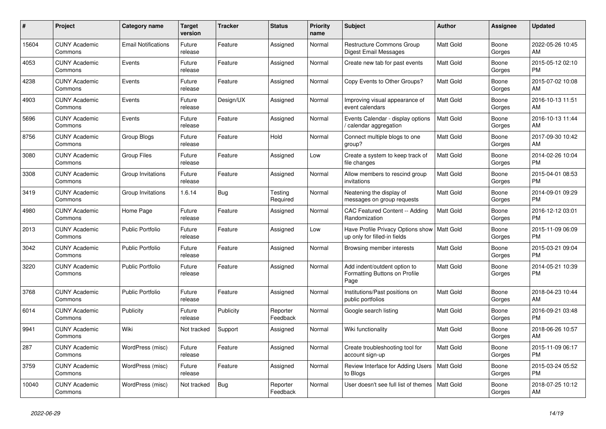| #     | Project                         | <b>Category name</b>       | <b>Target</b><br>version | <b>Tracker</b> | <b>Status</b>        | <b>Priority</b><br>name | <b>Subject</b>                                                                | <b>Author</b>    | Assignee        | <b>Updated</b>                |
|-------|---------------------------------|----------------------------|--------------------------|----------------|----------------------|-------------------------|-------------------------------------------------------------------------------|------------------|-----------------|-------------------------------|
| 15604 | <b>CUNY Academic</b><br>Commons | <b>Email Notifications</b> | Future<br>release        | Feature        | Assigned             | Normal                  | <b>Restructure Commons Group</b><br><b>Digest Email Messages</b>              | <b>Matt Gold</b> | Boone<br>Gorges | 2022-05-26 10:45<br>AM        |
| 4053  | <b>CUNY Academic</b><br>Commons | Events                     | Future<br>release        | Feature        | Assigned             | Normal                  | Create new tab for past events                                                | Matt Gold        | Boone<br>Gorges | 2015-05-12 02:10<br><b>PM</b> |
| 4238  | <b>CUNY Academic</b><br>Commons | Events                     | Future<br>release        | Feature        | Assigned             | Normal                  | Copy Events to Other Groups?                                                  | Matt Gold        | Boone<br>Gorges | 2015-07-02 10:08<br>AM        |
| 4903  | <b>CUNY Academic</b><br>Commons | Events                     | Future<br>release        | Design/UX      | Assigned             | Normal                  | Improving visual appearance of<br>event calendars                             | <b>Matt Gold</b> | Boone<br>Gorges | 2016-10-13 11:51<br>AM        |
| 5696  | <b>CUNY Academic</b><br>Commons | Events                     | Future<br>release        | Feature        | Assigned             | Normal                  | Events Calendar - display options<br>calendar aggregation                     | <b>Matt Gold</b> | Boone<br>Gorges | 2016-10-13 11:44<br>AM        |
| 8756  | <b>CUNY Academic</b><br>Commons | Group Blogs                | Future<br>release        | Feature        | Hold                 | Normal                  | Connect multiple blogs to one<br>group?                                       | Matt Gold        | Boone<br>Gorges | 2017-09-30 10:42<br>AM        |
| 3080  | <b>CUNY Academic</b><br>Commons | <b>Group Files</b>         | Future<br>release        | Feature        | Assigned             | Low                     | Create a system to keep track of<br>file changes                              | <b>Matt Gold</b> | Boone<br>Gorges | 2014-02-26 10:04<br><b>PM</b> |
| 3308  | <b>CUNY Academic</b><br>Commons | Group Invitations          | Future<br>release        | Feature        | Assigned             | Normal                  | Allow members to rescind group<br>invitations                                 | Matt Gold        | Boone<br>Gorges | 2015-04-01 08:53<br><b>PM</b> |
| 3419  | <b>CUNY Academic</b><br>Commons | Group Invitations          | 1.6.14                   | <b>Bug</b>     | Testing<br>Required  | Normal                  | Neatening the display of<br>messages on group requests                        | Matt Gold        | Boone<br>Gorges | 2014-09-01 09:29<br><b>PM</b> |
| 4980  | <b>CUNY Academic</b><br>Commons | Home Page                  | Future<br>release        | Feature        | Assigned             | Normal                  | CAC Featured Content -- Adding<br>Randomization                               | <b>Matt Gold</b> | Boone<br>Gorges | 2016-12-12 03:01<br><b>PM</b> |
| 2013  | <b>CUNY Academic</b><br>Commons | <b>Public Portfolio</b>    | Future<br>release        | Feature        | Assigned             | Low                     | Have Profile Privacy Options show   Matt Gold<br>up only for filled-in fields |                  | Boone<br>Gorges | 2015-11-09 06:09<br><b>PM</b> |
| 3042  | <b>CUNY Academic</b><br>Commons | Public Portfolio           | Future<br>release        | Feature        | Assigned             | Normal                  | Browsing member interests                                                     | Matt Gold        | Boone<br>Gorges | 2015-03-21 09:04<br><b>PM</b> |
| 3220  | <b>CUNY Academic</b><br>Commons | <b>Public Portfolio</b>    | Future<br>release        | Feature        | Assigned             | Normal                  | Add indent/outdent option to<br>Formatting Buttons on Profile<br>Page         | <b>Matt Gold</b> | Boone<br>Gorges | 2014-05-21 10:39<br><b>PM</b> |
| 3768  | <b>CUNY Academic</b><br>Commons | <b>Public Portfolio</b>    | Future<br>release        | Feature        | Assigned             | Normal                  | Institutions/Past positions on<br>public portfolios                           | Matt Gold        | Boone<br>Gorges | 2018-04-23 10:44<br>AM        |
| 6014  | <b>CUNY Academic</b><br>Commons | Publicity                  | Future<br>release        | Publicity      | Reporter<br>Feedback | Normal                  | Google search listing                                                         | Matt Gold        | Boone<br>Gorges | 2016-09-21 03:48<br><b>PM</b> |
| 9941  | <b>CUNY Academic</b><br>Commons | Wiki                       | Not tracked              | Support        | Assigned             | Normal                  | Wiki functionality                                                            | Matt Gold        | Boone<br>Gorges | 2018-06-26 10:57<br>AM        |
| 287   | <b>CUNY Academic</b><br>Commons | WordPress (misc)           | Future<br>release        | Feature        | Assigned             | Normal                  | Create troubleshooting tool for<br>account sign-up                            | Matt Gold        | Boone<br>Gorges | 2015-11-09 06:17<br><b>PM</b> |
| 3759  | <b>CUNY Academic</b><br>Commons | WordPress (misc)           | Future<br>release        | Feature        | Assigned             | Normal                  | Review Interface for Adding Users<br>to Blogs                                 | Matt Gold        | Boone<br>Gorges | 2015-03-24 05:52<br><b>PM</b> |
| 10040 | CUNY Academic<br>Commons        | WordPress (misc)           | Not tracked              | <b>Bug</b>     | Reporter<br>Feedback | Normal                  | User doesn't see full list of themes                                          | <b>Matt Gold</b> | Boone<br>Gorges | 2018-07-25 10:12<br>AM        |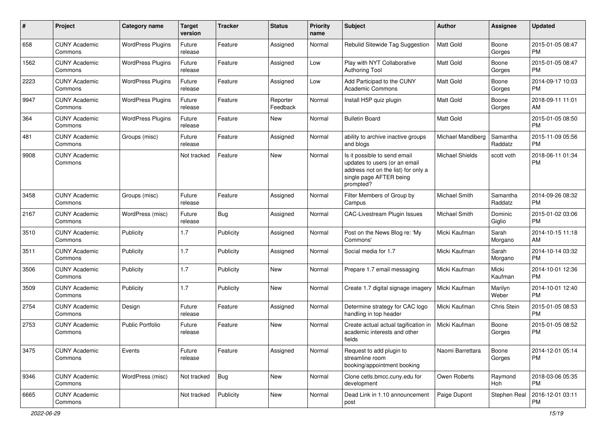| #    | Project                         | Category name            | <b>Target</b><br>version | <b>Tracker</b> | <b>Status</b>        | <b>Priority</b><br>name | <b>Subject</b>                                                                                                                               | Author                 | <b>Assignee</b>     | <b>Updated</b>                |
|------|---------------------------------|--------------------------|--------------------------|----------------|----------------------|-------------------------|----------------------------------------------------------------------------------------------------------------------------------------------|------------------------|---------------------|-------------------------------|
| 658  | <b>CUNY Academic</b><br>Commons | <b>WordPress Plugins</b> | Future<br>release        | Feature        | Assigned             | Normal                  | Rebulid Sitewide Tag Suggestion                                                                                                              | <b>Matt Gold</b>       | Boone<br>Gorges     | 2015-01-05 08:47<br><b>PM</b> |
| 1562 | <b>CUNY Academic</b><br>Commons | <b>WordPress Plugins</b> | Future<br>release        | Feature        | Assigned             | Low                     | Play with NYT Collaborative<br><b>Authoring Tool</b>                                                                                         | <b>Matt Gold</b>       | Boone<br>Gorges     | 2015-01-05 08:47<br><b>PM</b> |
| 2223 | <b>CUNY Academic</b><br>Commons | <b>WordPress Plugins</b> | Future<br>release        | Feature        | Assigned             | Low                     | Add Participad to the CUNY<br><b>Academic Commons</b>                                                                                        | Matt Gold              | Boone<br>Gorges     | 2014-09-17 10:03<br><b>PM</b> |
| 9947 | <b>CUNY Academic</b><br>Commons | <b>WordPress Plugins</b> | Future<br>release        | Feature        | Reporter<br>Feedback | Normal                  | Install H5P quiz plugin                                                                                                                      | Matt Gold              | Boone<br>Gorges     | 2018-09-11 11:01<br>AM        |
| 364  | <b>CUNY Academic</b><br>Commons | <b>WordPress Plugins</b> | Future<br>release        | Feature        | New                  | Normal                  | <b>Bulletin Board</b>                                                                                                                        | <b>Matt Gold</b>       |                     | 2015-01-05 08:50<br><b>PM</b> |
| 481  | <b>CUNY Academic</b><br>Commons | Groups (misc)            | Future<br>release        | Feature        | Assigned             | Normal                  | ability to archive inactive groups<br>and blogs                                                                                              | Michael Mandiberg      | Samantha<br>Raddatz | 2015-11-09 05:56<br><b>PM</b> |
| 9908 | <b>CUNY Academic</b><br>Commons |                          | Not tracked              | Feature        | <b>New</b>           | Normal                  | Is it possible to send email<br>updates to users (or an email<br>address not on the list) for only a<br>single page AFTER being<br>prompted? | <b>Michael Shields</b> | scott voth          | 2018-06-11 01:34<br><b>PM</b> |
| 3458 | <b>CUNY Academic</b><br>Commons | Groups (misc)            | Future<br>release        | Feature        | Assigned             | Normal                  | Filter Members of Group by<br>Campus                                                                                                         | Michael Smith          | Samantha<br>Raddatz | 2014-09-26 08:32<br><b>PM</b> |
| 2167 | <b>CUNY Academic</b><br>Commons | WordPress (misc)         | Future<br>release        | Bug            | Assigned             | Normal                  | CAC-Livestream Plugin Issues                                                                                                                 | Michael Smith          | Dominic<br>Giglio   | 2015-01-02 03:06<br><b>PM</b> |
| 3510 | <b>CUNY Academic</b><br>Commons | Publicity                | 1.7                      | Publicity      | Assigned             | Normal                  | Post on the News Blog re: 'My<br>Commons'                                                                                                    | Micki Kaufman          | Sarah<br>Morgano    | 2014-10-15 11:18<br>AM        |
| 3511 | <b>CUNY Academic</b><br>Commons | Publicity                | 1.7                      | Publicity      | Assigned             | Normal                  | Social media for 1.7                                                                                                                         | Micki Kaufman          | Sarah<br>Morgano    | 2014-10-14 03:32<br><b>PM</b> |
| 3506 | <b>CUNY Academic</b><br>Commons | Publicity                | 1.7                      | Publicity      | <b>New</b>           | Normal                  | Prepare 1.7 email messaging                                                                                                                  | Micki Kaufman          | Micki<br>Kaufman    | 2014-10-01 12:36<br><b>PM</b> |
| 3509 | <b>CUNY Academic</b><br>Commons | Publicity                | 1.7                      | Publicity      | <b>New</b>           | Normal                  | Create 1.7 digital signage imagery                                                                                                           | Micki Kaufman          | Marilyn<br>Weber    | 2014-10-01 12:40<br><b>PM</b> |
| 2754 | <b>CUNY Academic</b><br>Commons | Design                   | Future<br>release        | Feature        | Assigned             | Normal                  | Determine strategy for CAC logo<br>handling in top header                                                                                    | Micki Kaufman          | Chris Stein         | 2015-01-05 08:53<br><b>PM</b> |
| 2753 | <b>CUNY Academic</b><br>Commons | <b>Public Portfolio</b>  | Future<br>release        | Feature        | <b>New</b>           | Normal                  | Create actual actual tagification in<br>academic interests and other<br>fields                                                               | Micki Kaufman          | Boone<br>Gorges     | 2015-01-05 08:52<br><b>PM</b> |
| 3475 | <b>CUNY Academic</b><br>Commons | Events                   | Future<br>release        | Feature        | Assigned             | Normal                  | Request to add plugin to<br>streamline room<br>booking/appointment booking                                                                   | Naomi Barrettara       | Boone<br>Gorges     | 2014-12-01 05:14<br><b>PM</b> |
| 9346 | <b>CUNY Academic</b><br>Commons | WordPress (misc)         | Not tracked              | <b>Bug</b>     | New                  | Normal                  | Clone cetls.bmcc.cuny.edu for<br>development                                                                                                 | Owen Roberts           | Raymond<br>Hoh      | 2018-03-06 05:35<br><b>PM</b> |
| 6665 | <b>CUNY Academic</b><br>Commons |                          | Not tracked              | Publicity      | New                  | Normal                  | Dead Link in 1.10 announcement<br>post                                                                                                       | Paige Dupont           | Stephen Real        | 2016-12-01 03:11<br>PM        |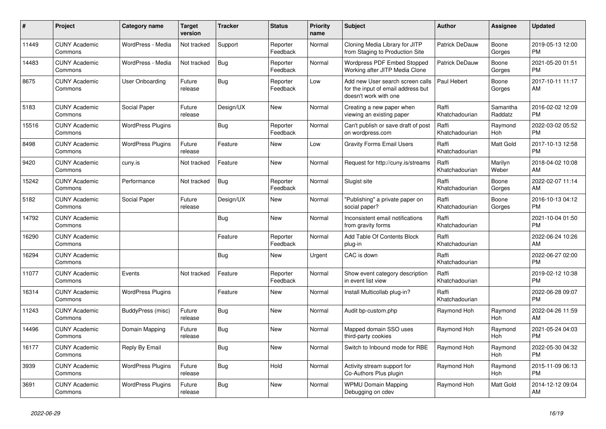| #     | Project                         | <b>Category name</b>     | <b>Target</b><br>version | <b>Tracker</b> | <b>Status</b>        | <b>Priority</b><br>name | <b>Subject</b>                                                                                  | <b>Author</b>           | Assignee            | <b>Updated</b>                |
|-------|---------------------------------|--------------------------|--------------------------|----------------|----------------------|-------------------------|-------------------------------------------------------------------------------------------------|-------------------------|---------------------|-------------------------------|
| 11449 | <b>CUNY Academic</b><br>Commons | WordPress - Media        | Not tracked              | Support        | Reporter<br>Feedback | Normal                  | Cloning Media Library for JITP<br>from Staging to Production Site                               | Patrick DeDauw          | Boone<br>Gorges     | 2019-05-13 12:00<br><b>PM</b> |
| 14483 | <b>CUNY Academic</b><br>Commons | WordPress - Media        | Not tracked              | Bug            | Reporter<br>Feedback | Normal                  | Wordpress PDF Embed Stopped<br>Working after JITP Media Clone                                   | Patrick DeDauw          | Boone<br>Gorges     | 2021-05-20 01:51<br><b>PM</b> |
| 8675  | <b>CUNY Academic</b><br>Commons | User Onboarding          | Future<br>release        | <b>Bug</b>     | Reporter<br>Feedback | Low                     | Add new User search screen calls<br>for the input of email address but<br>doesn't work with one | Paul Hebert             | Boone<br>Gorges     | 2017-10-11 11:17<br>AM        |
| 5183  | <b>CUNY Academic</b><br>Commons | Social Paper             | Future<br>release        | Design/UX      | New                  | Normal                  | Creating a new paper when<br>viewing an existing paper                                          | Raffi<br>Khatchadourian | Samantha<br>Raddatz | 2016-02-02 12:09<br><b>PM</b> |
| 15516 | <b>CUNY Academic</b><br>Commons | <b>WordPress Plugins</b> |                          | <b>Bug</b>     | Reporter<br>Feedback | Normal                  | Can't publish or save draft of post<br>on wordpress.com                                         | Raffi<br>Khatchadourian | Raymond<br>Hoh      | 2022-03-02 05:52<br><b>PM</b> |
| 8498  | <b>CUNY Academic</b><br>Commons | <b>WordPress Plugins</b> | Future<br>release        | Feature        | <b>New</b>           | Low                     | <b>Gravity Forms Email Users</b>                                                                | Raffi<br>Khatchadourian | Matt Gold           | 2017-10-13 12:58<br><b>PM</b> |
| 9420  | <b>CUNY Academic</b><br>Commons | cuny.is                  | Not tracked              | Feature        | <b>New</b>           | Normal                  | Request for http://cuny.is/streams                                                              | Raffi<br>Khatchadourian | Marilyn<br>Weber    | 2018-04-02 10:08<br>AM        |
| 15242 | <b>CUNY Academic</b><br>Commons | Performance              | Not tracked              | <b>Bug</b>     | Reporter<br>Feedback | Normal                  | Slugist site                                                                                    | Raffi<br>Khatchadourian | Boone<br>Gorges     | 2022-02-07 11:14<br>AM        |
| 5182  | <b>CUNY Academic</b><br>Commons | Social Paper             | Future<br>release        | Design/UX      | New                  | Normal                  | "Publishing" a private paper on<br>social paper?                                                | Raffi<br>Khatchadourian | Boone<br>Gorges     | 2016-10-13 04:12<br><b>PM</b> |
| 14792 | <b>CUNY Academic</b><br>Commons |                          |                          | Bug            | <b>New</b>           | Normal                  | Inconsistent email notifications<br>from gravity forms                                          | Raffi<br>Khatchadourian |                     | 2021-10-04 01:50<br><b>PM</b> |
| 16290 | <b>CUNY Academic</b><br>Commons |                          |                          | Feature        | Reporter<br>Feedback | Normal                  | Add Table Of Contents Block<br>plug-in                                                          | Raffi<br>Khatchadourian |                     | 2022-06-24 10:26<br>AM        |
| 16294 | <b>CUNY Academic</b><br>Commons |                          |                          | Bug            | <b>New</b>           | Urgent                  | CAC is down                                                                                     | Raffi<br>Khatchadourian |                     | 2022-06-27 02:00<br><b>PM</b> |
| 11077 | <b>CUNY Academic</b><br>Commons | Events                   | Not tracked              | Feature        | Reporter<br>Feedback | Normal                  | Show event category description<br>in event list view                                           | Raffi<br>Khatchadourian |                     | 2019-02-12 10:38<br><b>PM</b> |
| 16314 | <b>CUNY Academic</b><br>Commons | <b>WordPress Plugins</b> |                          | Feature        | New                  | Normal                  | Install Multicollab plug-in?                                                                    | Raffi<br>Khatchadourian |                     | 2022-06-28 09:07<br><b>PM</b> |
| 11243 | <b>CUNY Academic</b><br>Commons | BuddyPress (misc)        | Future<br>release        | <b>Bug</b>     | <b>New</b>           | Normal                  | Audit bp-custom.php                                                                             | Raymond Hoh             | Raymond<br>Hoh      | 2022-04-26 11:59<br>AM        |
| 14496 | <b>CUNY Academic</b><br>Commons | Domain Mapping           | Future<br>release        | <b>Bug</b>     | New                  | Normal                  | Mapped domain SSO uses<br>third-party cookies                                                   | Raymond Hoh             | Raymond<br>Hoh      | 2021-05-24 04:03<br><b>PM</b> |
| 16177 | <b>CUNY Academic</b><br>Commons | Reply By Email           |                          | Bug            | New                  | Normal                  | Switch to Inbound mode for RBE                                                                  | Raymond Hoh             | Raymond<br>Hoh      | 2022-05-30 04:32<br><b>PM</b> |
| 3939  | <b>CUNY Academic</b><br>Commons | <b>WordPress Plugins</b> | Future<br>release        | Bug            | Hold                 | Normal                  | Activity stream support for<br>Co-Authors Plus plugin                                           | Raymond Hoh             | Raymond<br>Hoh      | 2015-11-09 06:13<br><b>PM</b> |
| 3691  | <b>CUNY Academic</b><br>Commons | <b>WordPress Plugins</b> | Future<br>release        | Bug            | <b>New</b>           | Normal                  | <b>WPMU Domain Mapping</b><br>Debugging on cdev                                                 | Raymond Hoh             | Matt Gold           | 2014-12-12 09:04<br>AM        |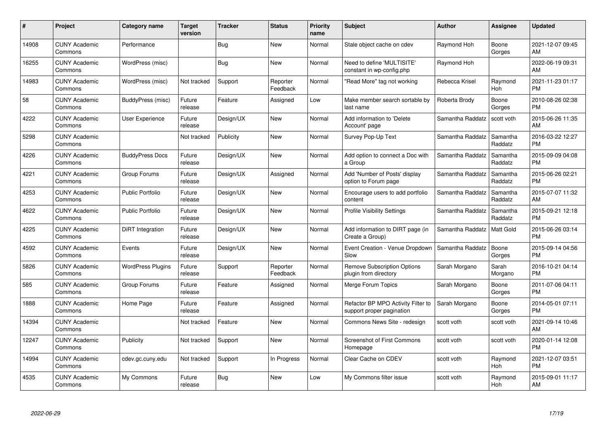| #     | Project                         | Category name            | <b>Target</b><br>version | <b>Tracker</b> | <b>Status</b>        | <b>Priority</b><br>name | <b>Subject</b>                                                  | <b>Author</b>    | <b>Assignee</b>     | <b>Updated</b>                |
|-------|---------------------------------|--------------------------|--------------------------|----------------|----------------------|-------------------------|-----------------------------------------------------------------|------------------|---------------------|-------------------------------|
| 14908 | <b>CUNY Academic</b><br>Commons | Performance              |                          | Bug            | <b>New</b>           | Normal                  | Stale object cache on cdev                                      | Raymond Hoh      | Boone<br>Gorges     | 2021-12-07 09:45<br>AM        |
| 16255 | <b>CUNY Academic</b><br>Commons | WordPress (misc)         |                          | Bug            | <b>New</b>           | Normal                  | Need to define 'MULTISITE'<br>constant in wp-config.php         | Raymond Hoh      |                     | 2022-06-19 09:31<br>AM        |
| 14983 | <b>CUNY Academic</b><br>Commons | WordPress (misc)         | Not tracked              | Support        | Reporter<br>Feedback | Normal                  | "Read More" tag not working                                     | Rebecca Krisel   | Raymond<br>Hoh      | 2021-11-23 01:17<br><b>PM</b> |
| 58    | <b>CUNY Academic</b><br>Commons | BuddyPress (misc)        | Future<br>release        | Feature        | Assigned             | Low                     | Make member search sortable by<br>last name                     | Roberta Brody    | Boone<br>Gorges     | 2010-08-26 02:38<br><b>PM</b> |
| 4222  | <b>CUNY Academic</b><br>Commons | <b>User Experience</b>   | Future<br>release        | Design/UX      | <b>New</b>           | Normal                  | Add information to 'Delete<br>Account' page                     | Samantha Raddatz | scott voth          | 2015-06-26 11:35<br>AM        |
| 5298  | <b>CUNY Academic</b><br>Commons |                          | Not tracked              | Publicity      | <b>New</b>           | Normal                  | Survey Pop-Up Text                                              | Samantha Raddatz | Samantha<br>Raddatz | 2016-03-22 12:27<br><b>PM</b> |
| 4226  | <b>CUNY Academic</b><br>Commons | <b>BuddyPress Docs</b>   | Future<br>release        | Design/UX      | <b>New</b>           | Normal                  | Add option to connect a Doc with<br>a Group                     | Samantha Raddatz | Samantha<br>Raddatz | 2015-09-09 04:08<br><b>PM</b> |
| 4221  | <b>CUNY Academic</b><br>Commons | Group Forums             | Future<br>release        | Design/UX      | Assigned             | Normal                  | Add 'Number of Posts' display<br>option to Forum page           | Samantha Raddatz | Samantha<br>Raddatz | 2015-06-26 02:21<br><b>PM</b> |
| 4253  | <b>CUNY Academic</b><br>Commons | Public Portfolio         | Future<br>release        | Design/UX      | New                  | Normal                  | Encourage users to add portfolio<br>content                     | Samantha Raddatz | Samantha<br>Raddatz | 2015-07-07 11:32<br>AM        |
| 4622  | <b>CUNY Academic</b><br>Commons | Public Portfolio         | Future<br>release        | Design/UX      | New                  | Normal                  | <b>Profile Visibility Settings</b>                              | Samantha Raddatz | Samantha<br>Raddatz | 2015-09-21 12:18<br><b>PM</b> |
| 4225  | <b>CUNY Academic</b><br>Commons | DiRT Integration         | Future<br>release        | Design/UX      | New                  | Normal                  | Add information to DIRT page (in<br>Create a Group)             | Samantha Raddatz | Matt Gold           | 2015-06-26 03:14<br><b>PM</b> |
| 4592  | <b>CUNY Academic</b><br>Commons | Events                   | Future<br>release        | Design/UX      | New                  | Normal                  | Event Creation - Venue Dropdown<br>Slow                         | Samantha Raddatz | Boone<br>Gorges     | 2015-09-14 04:56<br><b>PM</b> |
| 5826  | <b>CUNY Academic</b><br>Commons | <b>WordPress Plugins</b> | Future<br>release        | Support        | Reporter<br>Feedback | Normal                  | <b>Remove Subscription Options</b><br>plugin from directory     | Sarah Morgano    | Sarah<br>Morgano    | 2016-10-21 04:14<br><b>PM</b> |
| 585   | <b>CUNY Academic</b><br>Commons | Group Forums             | Future<br>release        | Feature        | Assigned             | Normal                  | Merge Forum Topics                                              | Sarah Morgano    | Boone<br>Gorges     | 2011-07-06 04:11<br><b>PM</b> |
| 1888  | <b>CUNY Academic</b><br>Commons | Home Page                | Future<br>release        | Feature        | Assigned             | Normal                  | Refactor BP MPO Activity Filter to<br>support proper pagination | Sarah Morgano    | Boone<br>Gorges     | 2014-05-01 07:11<br><b>PM</b> |
| 14394 | <b>CUNY Academic</b><br>Commons |                          | Not tracked              | Feature        | New                  | Normal                  | Commons News Site - redesign                                    | scott voth       | scott voth          | 2021-09-14 10:46<br>AM        |
| 12247 | <b>CUNY Academic</b><br>Commons | Publicity                | Not tracked              | Support        | New                  | Normal                  | Screenshot of First Commons<br>Homepage                         | scott voth       | scott voth          | 2020-01-14 12:08<br><b>PM</b> |
| 14994 | <b>CUNY Academic</b><br>Commons | cdev.gc.cuny.edu         | Not tracked              | Support        | In Progress          | Normal                  | Clear Cache on CDEV                                             | scott voth       | Raymond<br>Hoh      | 2021-12-07 03:51<br><b>PM</b> |
| 4535  | CUNY Academic<br>Commons        | My Commons               | Future<br>release        | Bug            | <b>New</b>           | Low                     | My Commons filter issue                                         | scott voth       | Raymond<br>Hoh      | 2015-09-01 11:17<br>AM        |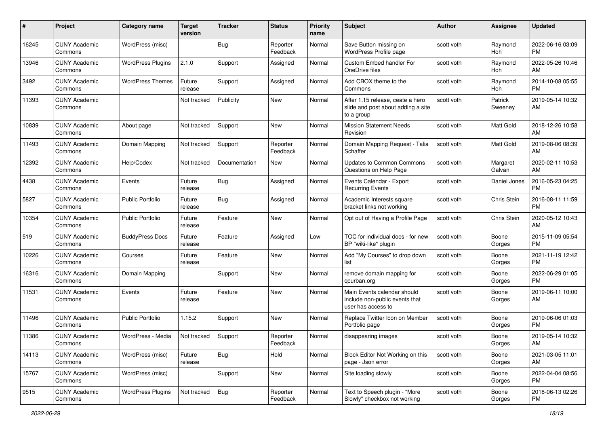| #     | Project                         | <b>Category name</b>     | <b>Target</b><br>version | <b>Tracker</b> | <b>Status</b>        | <b>Priority</b><br>name | Subject                                                                              | Author     | Assignee           | <b>Updated</b>                |
|-------|---------------------------------|--------------------------|--------------------------|----------------|----------------------|-------------------------|--------------------------------------------------------------------------------------|------------|--------------------|-------------------------------|
| 16245 | <b>CUNY Academic</b><br>Commons | WordPress (misc)         |                          | <b>Bug</b>     | Reporter<br>Feedback | Normal                  | Save Button missing on<br>WordPress Profile page                                     | scott voth | Raymond<br>Hoh     | 2022-06-16 03:09<br><b>PM</b> |
| 13946 | <b>CUNY Academic</b><br>Commons | <b>WordPress Plugins</b> | 2.1.0                    | Support        | Assigned             | Normal                  | Custom Embed handler For<br>OneDrive files                                           | scott voth | Raymond<br>Hoh     | 2022-05-26 10:46<br>AM        |
| 3492  | <b>CUNY Academic</b><br>Commons | <b>WordPress Themes</b>  | Future<br>release        | Support        | Assigned             | Normal                  | Add CBOX theme to the<br>Commons                                                     | scott voth | Raymond<br>Hoh     | 2014-10-08 05:55<br><b>PM</b> |
| 11393 | <b>CUNY Academic</b><br>Commons |                          | Not tracked              | Publicity      | <b>New</b>           | Normal                  | After 1.15 release, ceate a hero<br>slide and post about adding a site<br>to a group | scott voth | Patrick<br>Sweeney | 2019-05-14 10:32<br>AM        |
| 10839 | <b>CUNY Academic</b><br>Commons | About page               | Not tracked              | Support        | <b>New</b>           | Normal                  | <b>Mission Statement Needs</b><br>Revision                                           | scott voth | Matt Gold          | 2018-12-26 10:58<br>AM        |
| 11493 | <b>CUNY Academic</b><br>Commons | Domain Mapping           | Not tracked              | Support        | Reporter<br>Feedback | Normal                  | Domain Mapping Request - Talia<br>Schaffer                                           | scott voth | Matt Gold          | 2019-08-06 08:39<br>AM        |
| 12392 | <b>CUNY Academic</b><br>Commons | Help/Codex               | Not tracked              | Documentation  | New                  | Normal                  | Updates to Common Commons<br>Questions on Help Page                                  | scott voth | Margaret<br>Galvan | 2020-02-11 10:53<br>AM        |
| 4438  | <b>CUNY Academic</b><br>Commons | Events                   | Future<br>release        | <b>Bug</b>     | Assigned             | Normal                  | Events Calendar - Export<br><b>Recurring Events</b>                                  | scott voth | Daniel Jones       | 2016-05-23 04:25<br><b>PM</b> |
| 5827  | <b>CUNY Academic</b><br>Commons | <b>Public Portfolio</b>  | Future<br>release        | <b>Bug</b>     | Assigned             | Normal                  | Academic Interests square<br>bracket links not working                               | scott voth | Chris Stein        | 2016-08-11 11:59<br><b>PM</b> |
| 10354 | <b>CUNY Academic</b><br>Commons | <b>Public Portfolio</b>  | Future<br>release        | Feature        | New                  | Normal                  | Opt out of Having a Profile Page                                                     | scott voth | Chris Stein        | 2020-05-12 10:43<br>AM        |
| 519   | <b>CUNY Academic</b><br>Commons | <b>BuddyPress Docs</b>   | Future<br>release        | Feature        | Assigned             | Low                     | TOC for individual docs - for new<br>BP "wiki-like" plugin                           | scott voth | Boone<br>Gorges    | 2015-11-09 05:54<br><b>PM</b> |
| 10226 | <b>CUNY Academic</b><br>Commons | Courses                  | Future<br>release        | Feature        | <b>New</b>           | Normal                  | Add "My Courses" to drop down<br>list                                                | scott voth | Boone<br>Gorges    | 2021-11-19 12:42<br><b>PM</b> |
| 16316 | <b>CUNY Academic</b><br>Commons | Domain Mapping           |                          | Support        | <b>New</b>           | Normal                  | remove domain mapping for<br>qcurban.org                                             | scott voth | Boone<br>Gorges    | 2022-06-29 01:05<br><b>PM</b> |
| 11531 | <b>CUNY Academic</b><br>Commons | Events                   | Future<br>release        | Feature        | New                  | Normal                  | Main Events calendar should<br>include non-public events that<br>user has access to  | scott voth | Boone<br>Gorges    | 2019-06-11 10:00<br>AM        |
| 11496 | <b>CUNY Academic</b><br>Commons | Public Portfolio         | 1.15.2                   | Support        | New                  | Normal                  | Replace Twitter Icon on Member<br>Portfolio page                                     | scott voth | Boone<br>Gorges    | 2019-06-06 01:03<br><b>PM</b> |
| 11386 | <b>CUNY Academic</b><br>Commons | WordPress - Media        | Not tracked              | Support        | Reporter<br>Feedback | Normal                  | disappearing images                                                                  | scott voth | Boone<br>Gorges    | 2019-05-14 10:32<br>AM        |
| 14113 | <b>CUNY Academic</b><br>Commons | WordPress (misc)         | Future<br>release        | Bug            | Hold                 | Normal                  | Block Editor Not Working on this<br>page - Json error                                | scott voth | Boone<br>Gorges    | 2021-03-05 11:01<br>AM        |
| 15767 | <b>CUNY Academic</b><br>Commons | WordPress (misc)         |                          | Support        | <b>New</b>           | Normal                  | Site loading slowly                                                                  | scott voth | Boone<br>Gorges    | 2022-04-04 08:56<br><b>PM</b> |
| 9515  | <b>CUNY Academic</b><br>Commons | <b>WordPress Plugins</b> | Not tracked              | Bug            | Reporter<br>Feedback | Normal                  | Text to Speech plugin - "More<br>Slowly" checkbox not working                        | scott voth | Boone<br>Gorges    | 2018-06-13 02:26<br><b>PM</b> |